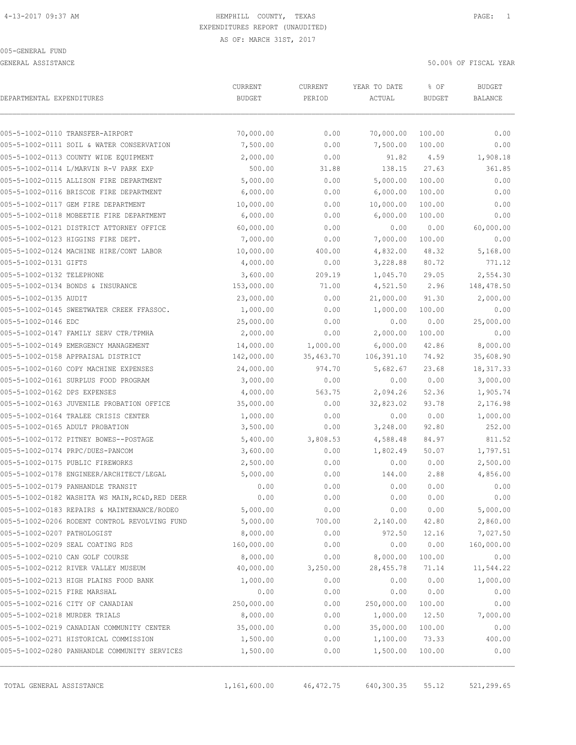GENERAL ASSISTANCE 50.00% OF FISCAL YEAR

| DEPARTMENTAL EXPENDITURES                                                             | CURRENT<br><b>BUDGET</b> | CURRENT<br>PERIOD | YEAR TO DATE<br>ACTUAL | % OF<br><b>BUDGET</b> | <b>BUDGET</b><br><b>BALANCE</b> |
|---------------------------------------------------------------------------------------|--------------------------|-------------------|------------------------|-----------------------|---------------------------------|
| 005-5-1002-0110 TRANSFER-AIRPORT                                                      | 70,000.00                | 0.00              | 70,000.00              | 100.00                | ${\bf 0}$ . ${\bf 0}$ ${\bf 0}$ |
| 005-5-1002-0111 SOIL & WATER CONSERVATION                                             | 7,500.00                 | 0.00              | 7,500.00               | 100.00                | 0.00                            |
| 005-5-1002-0113 COUNTY WIDE EQUIPMENT                                                 | 2,000.00                 | 0.00              | 91.82                  | 4.59                  | 1,908.18                        |
| 005-5-1002-0114 L/MARVIN R-V PARK EXP                                                 | 500.00                   | 31.88             | 138.15                 | 27.63                 | 361.85                          |
| 005-5-1002-0115 ALLISON FIRE DEPARTMENT                                               | 5,000.00                 | 0.00              | 5,000.00               | 100.00                | 0.00                            |
| 005-5-1002-0116 BRISCOE FIRE DEPARTMENT                                               | 6,000.00                 | 0.00              | 6,000.00               | 100.00                | 0.00                            |
| 005-5-1002-0117 GEM FIRE DEPARTMENT                                                   | 10,000.00                | 0.00              | 10,000.00              | 100.00                | 0.00                            |
| 005-5-1002-0118 MOBEETIE FIRE DEPARTMENT                                              | 6,000.00                 | 0.00              | 6,000.00               | 100.00                | 0.00                            |
| 005-5-1002-0121 DISTRICT ATTORNEY OFFICE                                              | 60,000.00                | 0.00              | 0.00                   | 0.00                  | 60,000.00                       |
| 005-5-1002-0123 HIGGINS FIRE DEPT.                                                    | 7,000.00                 | 0.00              | 7,000.00               | 100.00                | 0.00                            |
| 005-5-1002-0124 MACHINE HIRE/CONT LABOR                                               | 10,000.00                | 400.00            | 4,832.00               | 48.32                 | 5,168.00                        |
| 005-5-1002-0131 GIFTS                                                                 | 4,000.00                 | 0.00              | 3,228.88               | 80.72                 | 771.12                          |
| 005-5-1002-0132 TELEPHONE                                                             | 3,600.00                 | 209.19            | 1,045.70               | 29.05                 | 2,554.30                        |
| 005-5-1002-0134 BONDS & INSURANCE                                                     | 153,000.00               | 71.00             | 4,521.50               | 2.96                  | 148,478.50                      |
| 005-5-1002-0135 AUDIT                                                                 | 23,000.00                | 0.00              | 21,000.00              | 91.30                 | 2,000.00                        |
| 005-5-1002-0145 SWEETWATER CREEK FFASSOC.                                             | 1,000.00                 | 0.00              | 1,000.00               | 100.00                | 0.00                            |
| 005-5-1002-0146 EDC                                                                   | 25,000.00                | 0.00              | 0.00                   | 0.00                  | 25,000.00                       |
| 005-5-1002-0147 FAMILY SERV CTR/TPMHA                                                 | 2,000.00                 | 0.00              | 2,000.00               | 100.00                | 0.00                            |
| 005-5-1002-0149 EMERGENCY MANAGEMENT                                                  | 14,000.00                | 1,000.00          | 6,000.00               | 42.86                 | 8,000.00                        |
| 005-5-1002-0158 APPRAISAL DISTRICT                                                    | 142,000.00               | 35,463.70         | 106,391.10             | 74.92                 | 35,608.90                       |
| 005-5-1002-0160 COPY MACHINE EXPENSES                                                 | 24,000.00                | 974.70            | 5,682.67               | 23.68                 | 18, 317.33                      |
| 005-5-1002-0161 SURPLUS FOOD PROGRAM                                                  | 3,000.00                 | 0.00              | 0.00                   | 0.00                  | 3,000.00                        |
| 005-5-1002-0162 DPS EXPENSES                                                          | 4,000.00                 | 563.75            | 2,094.26               | 52.36                 | 1,905.74                        |
| 005-5-1002-0163 JUVENILE PROBATION OFFICE                                             | 35,000.00                | 0.00              | 32,823.02              | 93.78                 | 2,176.98                        |
| 005-5-1002-0164 TRALEE CRISIS CENTER                                                  | 1,000.00                 | 0.00              | 0.00                   | 0.00                  | 1,000.00                        |
| 005-5-1002-0165 ADULT PROBATION                                                       | 3,500.00                 | 0.00              | 3,248.00               | 92.80                 | 252.00                          |
| 005-5-1002-0172 PITNEY BOWES--POSTAGE                                                 | 5,400.00                 | 3,808.53          | 4,588.48               | 84.97                 | 811.52                          |
| 005-5-1002-0174 PRPC/DUES-PANCOM                                                      | 3,600.00                 | 0.00              | 1,802.49               | 50.07                 | 1,797.51                        |
| 005-5-1002-0175 PUBLIC FIREWORKS                                                      | 2,500.00                 | 0.00              | 0.00                   | 0.00                  | 2,500.00                        |
| 005-5-1002-0178 ENGINEER/ARCHITECT/LEGAL                                              | 5,000.00                 | 0.00              | 144.00                 | 2.88                  | 4,856.00                        |
| 005-5-1002-0179 PANHANDLE TRANSIT                                                     | 0.00                     | 0.00              | 0.00                   | 0.00                  | 0.00                            |
| 005-5-1002-0182 WASHITA WS MAIN, RC&D, RED DEER                                       | 0.00                     | 0.00              | 0.00                   | 0.00                  | 0.00                            |
| 005-5-1002-0183 REPAIRS & MAINTENANCE/RODEO                                           | 5,000.00                 | 0.00              | 0.00                   | 0.00                  | 5,000.00                        |
| 005-5-1002-0206 RODENT CONTROL REVOLVING FUND                                         | 5,000.00                 | 700.00            | 2,140.00               | 42.80                 | 2,860.00                        |
| 005-5-1002-0207 PATHOLOGIST                                                           | 8,000.00                 | 0.00              | 972.50                 | 12.16                 | 7,027.50                        |
| 005-5-1002-0209 SEAL COATING RDS                                                      | 160,000.00               | 0.00              | 0.00                   | 0.00                  | 160,000.00                      |
| 005-5-1002-0210 CAN GOLF COURSE                                                       | 8,000.00                 | 0.00              | 8,000.00               | 100.00                | 0.00                            |
| 005-5-1002-0212 RIVER VALLEY MUSEUM                                                   | 40,000.00                | 3,250.00          | 28, 455.78             | 71.14                 | 11,544.22                       |
| 005-5-1002-0213 HIGH PLAINS FOOD BANK                                                 | 1,000.00                 | 0.00              | 0.00                   | 0.00                  | 1,000.00                        |
| 005-5-1002-0215 FIRE MARSHAL                                                          | 0.00                     | 0.00              | 0.00                   | 0.00                  | 0.00                            |
| 005-5-1002-0216 CITY OF CANADIAN                                                      | 250,000.00               | 0.00              | 250,000.00             | 100.00                | 0.00                            |
| 005-5-1002-0218 MURDER TRIALS                                                         | 8,000.00                 | 0.00              | 1,000.00               | 12.50                 | 7,000.00                        |
| 005-5-1002-0219 CANADIAN COMMUNITY CENTER                                             | 35,000.00                | 0.00              | 35,000.00              | 100.00                | 0.00                            |
| 005-5-1002-0271 HISTORICAL COMMISSION<br>005-5-1002-0280 PANHANDLE COMMUNITY SERVICES | 1,500.00<br>1,500.00     | 0.00<br>0.00      | 1,100.00<br>1,500.00   | 73.33<br>100.00       | 400.00<br>0.00                  |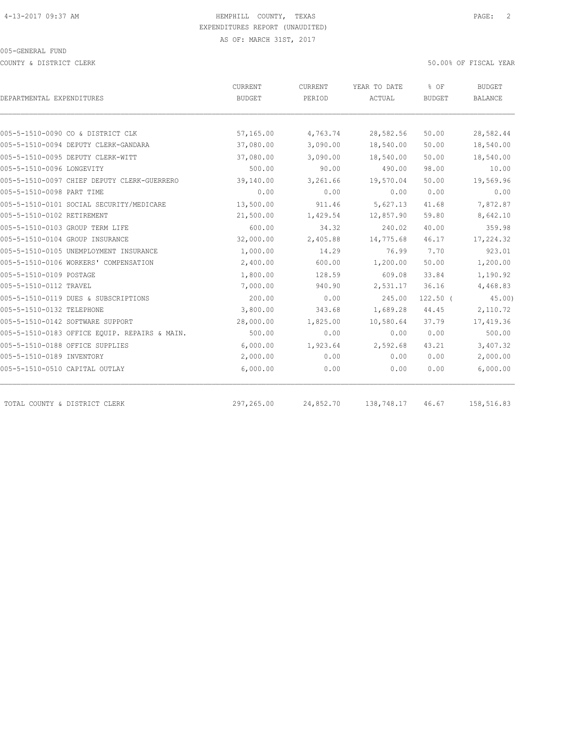COUNTY & DISTRICT CLERK 50.00% OF FISCAL YEAR

| DEPARTMENTAL EXPENDITURES                     | CURRENT<br>BUDGET | CURRENT<br>PERIOD | YEAR TO DATE<br>ACTUAL | % OF<br><b>BUDGET</b> | <b>BUDGET</b><br><b>BALANCE</b> |
|-----------------------------------------------|-------------------|-------------------|------------------------|-----------------------|---------------------------------|
|                                               |                   |                   |                        |                       |                                 |
| 005-5-1510-0090 CO & DISTRICT CLK             | 57,165.00         | 4,763.74          | 28,582.56              | 50.00                 | 28,582.44                       |
| 005-5-1510-0094 DEPUTY CLERK-GANDARA          | 37,080.00         | 3,090.00          | 18,540.00              | 50.00                 | 18,540.00                       |
| 005-5-1510-0095 DEPUTY CLERK-WITT             | 37,080.00         | 3,090.00          | 18,540.00              | 50.00                 | 18,540.00                       |
| 005-5-1510-0096 LONGEVITY                     | 500.00            | 90.00             | 490.00                 | 98.00                 | 10.00                           |
| 005-5-1510-0097 CHIEF DEPUTY CLERK-GUERRERO   | 39,140.00         | 3,261.66          | 19,570.04              | 50.00                 | 19,569.96                       |
| 005-5-1510-0098 PART TIME                     | 0.00              | 0.00              | 0.00                   | 0.00                  | 0.00                            |
| 005-5-1510-0101 SOCIAL SECURITY/MEDICARE      | 13,500.00         | 911.46            | 5,627.13               | 41.68                 | 7,872.87                        |
| 005-5-1510-0102 RETIREMENT                    | 21,500.00         | 1,429.54          | 12,857.90              | 59.80                 | 8,642.10                        |
| 005-5-1510-0103 GROUP TERM LIFE               | 600.00            | 34.32             | 240.02                 | 40.00                 | 359.98                          |
| 005-5-1510-0104 GROUP INSURANCE               | 32,000.00         | 2,405.88          | 14,775.68              | 46.17                 | 17,224.32                       |
| 005-5-1510-0105 UNEMPLOYMENT INSURANCE        | 1,000.00          | 14.29             | 76.99                  | 7.70                  | 923.01                          |
| 005-5-1510-0106 WORKERS' COMPENSATION         | 2,400.00          | 600.00            | 1,200.00               | 50.00                 | 1,200.00                        |
| 005-5-1510-0109 POSTAGE                       | 1,800.00          | 128.59            | 609.08                 | 33.84                 | 1,190.92                        |
| 005-5-1510-0112 TRAVEL                        | 7,000.00          | 940.90            | 2,531.17               | 36.16                 | 4,468.83                        |
| 005-5-1510-0119 DUES & SUBSCRIPTIONS          | 200.00            | 0.00              | 245.00                 | $122.50$ (            | 45.00                           |
| 005-5-1510-0132 TELEPHONE                     | 3,800.00          | 343.68            | 1,689.28               | 44.45                 | 2,110.72                        |
| 005-5-1510-0142 SOFTWARE SUPPORT              | 28,000.00         | 1,825.00          | 10,580.64              | 37.79                 | 17,419.36                       |
| 005-5-1510-0183 OFFICE EQUIP. REPAIRS & MAIN. | 500.00            | 0.00              | 0.00                   | 0.00                  | 500.00                          |
| 005-5-1510-0188 OFFICE SUPPLIES               | 6,000.00          | 1,923.64          | 2,592.68               | 43.21                 | 3,407.32                        |
| 005-5-1510-0189 INVENTORY                     | 2,000.00          | 0.00              | 0.00                   | 0.00                  | 2,000.00                        |
| 005-5-1510-0510 CAPITAL OUTLAY                | 6,000.00          | 0.00              | 0.00                   | 0.00                  | 6,000.00                        |
| TOTAL COUNTY & DISTRICT CLERK                 | 297,265.00        | 24,852.70         | 138,748.17             | 46.67                 | 158,516.83                      |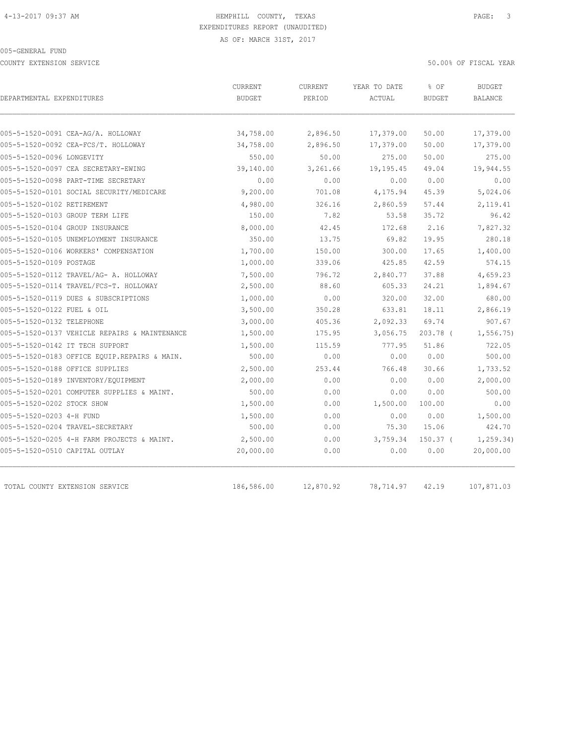COUNTY EXTENSION SERVICE 50.00% OF FISCAL YEAR

| DEPARTMENTAL EXPENDITURES                     | CURRENT<br><b>BUDGET</b> | CURRENT<br>PERIOD | YEAR TO DATE<br>ACTUAL | % OF<br><b>BUDGET</b> | <b>BUDGET</b><br>BALANCE |
|-----------------------------------------------|--------------------------|-------------------|------------------------|-----------------------|--------------------------|
|                                               |                          |                   |                        |                       |                          |
| 005-5-1520-0091 CEA-AG/A. HOLLOWAY            | 34,758.00                | 2,896.50          | 17,379.00              | 50.00                 | 17,379.00                |
| 005-5-1520-0092 CEA-FCS/T. HOLLOWAY           | 34,758.00                | 2,896.50          | 17,379.00              | 50.00                 | 17,379.00                |
| 005-5-1520-0096 LONGEVITY                     | 550.00                   | 50.00             | 275.00                 | 50.00                 | 275.00                   |
| 005-5-1520-0097 CEA SECRETARY-EWING           | 39,140.00                | 3,261.66          | 19,195.45              | 49.04                 | 19,944.55                |
| 005-5-1520-0098 PART-TIME SECRETARY           | 0.00                     | 0.00              | 0.00                   | 0.00                  | 0.00                     |
| 005-5-1520-0101 SOCIAL SECURITY/MEDICARE      | 9,200.00                 | 701.08            | 4,175.94               | 45.39                 | 5,024.06                 |
| 005-5-1520-0102 RETIREMENT                    | 4,980.00                 | 326.16            | 2,860.59               | 57.44                 | 2,119.41                 |
| 005-5-1520-0103 GROUP TERM LIFE               | 150.00                   | 7.82              | 53.58                  | 35.72                 | 96.42                    |
| 005-5-1520-0104 GROUP INSURANCE               | 8,000.00                 | 42.45             | 172.68                 | 2.16                  | 7,827.32                 |
| 005-5-1520-0105 UNEMPLOYMENT INSURANCE        | 350.00                   | 13.75             | 69.82                  | 19.95                 | 280.18                   |
| 005-5-1520-0106 WORKERS' COMPENSATION         | 1,700.00                 | 150.00            | 300.00                 | 17.65                 | 1,400.00                 |
| 005-5-1520-0109 POSTAGE                       | 1,000.00                 | 339.06            | 425.85                 | 42.59                 | 574.15                   |
| 005-5-1520-0112 TRAVEL/AG- A. HOLLOWAY        | 7,500.00                 | 796.72            | 2,840.77               | 37.88                 | 4,659.23                 |
| 005-5-1520-0114 TRAVEL/FCS-T. HOLLOWAY        | 2,500.00                 | 88.60             | 605.33                 | 24.21                 | 1,894.67                 |
| 005-5-1520-0119 DUES & SUBSCRIPTIONS          | 1,000.00                 | 0.00              | 320.00                 | 32.00                 | 680.00                   |
| 005-5-1520-0122 FUEL & OIL                    | 3,500.00                 | 350.28            | 633.81                 | 18.11                 | 2,866.19                 |
| 005-5-1520-0132 TELEPHONE                     | 3,000.00                 | 405.36            | 2,092.33               | 69.74                 | 907.67                   |
| 005-5-1520-0137 VEHICLE REPAIRS & MAINTENANCE | 1,500.00                 | 175.95            | 3,056.75               | $203.78$ (            | 1, 556.75                |
| 005-5-1520-0142 IT TECH SUPPORT               | 1,500.00                 | 115.59            | 777.95                 | 51.86                 | 722.05                   |
| 005-5-1520-0183 OFFICE EOUIP.REPAIRS & MAIN.  | 500.00                   | 0.00              | 0.00                   | 0.00                  | 500.00                   |
| 005-5-1520-0188 OFFICE SUPPLIES               | 2,500.00                 | 253.44            | 766.48                 | 30.66                 | 1,733.52                 |
| 005-5-1520-0189 INVENTORY/EQUIPMENT           | 2,000.00                 | 0.00              | 0.00                   | 0.00                  | 2,000.00                 |
| 005-5-1520-0201 COMPUTER SUPPLIES & MAINT.    | 500.00                   | 0.00              | 0.00                   | 0.00                  | 500.00                   |
| 005-5-1520-0202 STOCK SHOW                    | 1,500.00                 | 0.00              | 1,500.00               | 100.00                | 0.00                     |
| 005-5-1520-0203 4-H FUND                      | 1,500.00                 | 0.00              | 0.00                   | 0.00                  | 1,500.00                 |
| 005-5-1520-0204 TRAVEL-SECRETARY              | 500.00                   | 0.00              | 75.30                  | 15.06                 | 424.70                   |
| 005-5-1520-0205 4-H FARM PROJECTS & MAINT.    | 2,500.00                 | 0.00              | 3,759.34               | 150.37 <sub>0</sub>   | 1, 259.34)               |
| 005-5-1520-0510 CAPITAL OUTLAY                | 20,000.00                | 0.00              | 0.00                   | 0.00                  | 20,000.00                |
| TOTAL COUNTY EXTENSION SERVICE                | 186,586.00               | 12,870.92         | 78,714.97              | 42.19                 | 107,871.03               |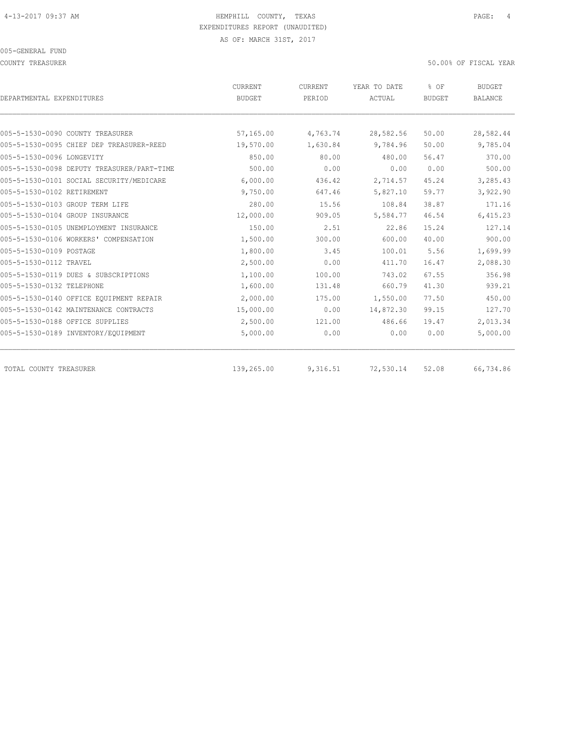COUNTY TREASURER 50.00% OF FISCAL YEAR

| DEPARTMENTAL EXPENDITURES                  | CURRENT<br><b>BUDGET</b> | CURRENT<br>PERIOD | YEAR TO DATE<br>ACTUAL | % OF<br><b>BUDGET</b> | <b>BUDGET</b><br><b>BALANCE</b> |
|--------------------------------------------|--------------------------|-------------------|------------------------|-----------------------|---------------------------------|
|                                            |                          |                   |                        |                       |                                 |
| 005-5-1530-0090 COUNTY TREASURER           | 57,165.00                | 4,763.74          | 28,582.56              | 50.00                 | 28,582.44                       |
| 005-5-1530-0095 CHIEF DEP TREASURER-REED   | 19,570.00                | 1,630.84          | 9,784.96               | 50.00                 | 9,785.04                        |
| 005-5-1530-0096 LONGEVITY                  | 850.00                   | 80.00             | 480.00                 | 56.47                 | 370.00                          |
| 005-5-1530-0098 DEPUTY TREASURER/PART-TIME | 500.00                   | 0.00              | 0.00                   | 0.00                  | 500.00                          |
| 005-5-1530-0101 SOCIAL SECURITY/MEDICARE   | 6,000.00                 | 436.42            | 2,714.57               | 45.24                 | 3,285.43                        |
| 005-5-1530-0102 RETIREMENT                 | 9,750.00                 | 647.46            | 5,827.10               | 59.77                 | 3,922.90                        |
| 005-5-1530-0103 GROUP TERM LIFE            | 280.00                   | 15.56             | 108.84                 | 38.87                 | 171.16                          |
| 005-5-1530-0104 GROUP INSURANCE            | 12,000.00                | 909.05            | 5,584.77               | 46.54                 | 6,415.23                        |
| 005-5-1530-0105 UNEMPLOYMENT INSURANCE     | 150.00                   | 2.51              | 22.86                  | 15.24                 | 127.14                          |
| 005-5-1530-0106 WORKERS' COMPENSATION      | 1,500.00                 | 300.00            | 600.00                 | 40.00                 | 900.00                          |
| 005-5-1530-0109 POSTAGE                    | 1,800.00                 | 3.45              | 100.01                 | 5.56                  | 1,699.99                        |
| 005-5-1530-0112 TRAVEL                     | 2,500.00                 | 0.00              | 411.70                 | 16.47                 | 2,088.30                        |
| 005-5-1530-0119 DUES & SUBSCRIPTIONS       | 1,100.00                 | 100.00            | 743.02                 | 67.55                 | 356.98                          |
| 005-5-1530-0132 TELEPHONE                  | 1,600.00                 | 131.48            | 660.79                 | 41.30                 | 939.21                          |
| 005-5-1530-0140 OFFICE EQUIPMENT REPAIR    | 2,000.00                 | 175.00            | 1,550.00               | 77.50                 | 450.00                          |
| 005-5-1530-0142 MAINTENANCE CONTRACTS      | 15,000.00                | 0.00              | 14,872.30              | 99.15                 | 127.70                          |
| 005-5-1530-0188 OFFICE SUPPLIES            | 2,500.00                 | 121.00            | 486.66                 | 19.47                 | 2,013.34                        |
| 005-5-1530-0189 INVENTORY/EQUIPMENT        | 5,000.00                 | 0.00              | 0.00                   | 0.00                  | 5,000.00                        |
| TOTAL COUNTY TREASURER                     | 139,265.00               | 9,316.51          | 72,530.14              | 52.08                 | 66,734.86                       |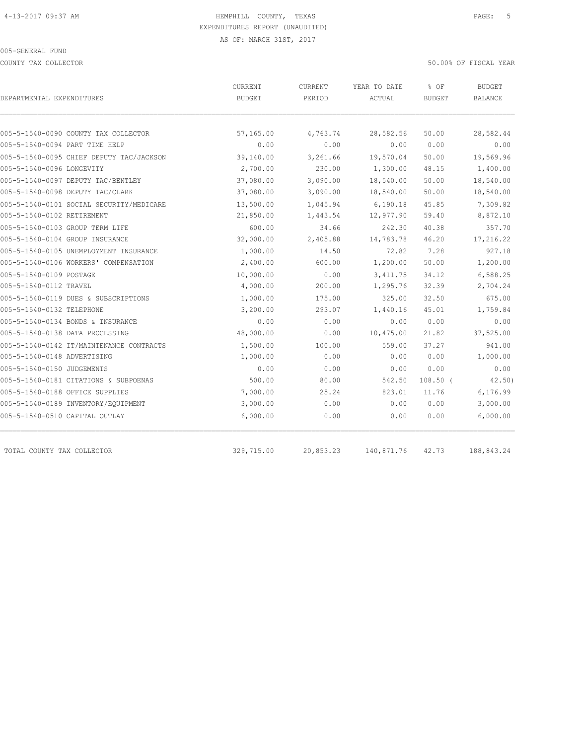COUNTY TAX COLLECTOR 50.00% OF FISCAL YEAR

| DEPARTMENTAL EXPENDITURES                | CURRENT<br><b>BUDGET</b> | CURRENT<br>PERIOD | YEAR TO DATE<br>ACTUAL | % OF<br><b>BUDGET</b> | BUDGET<br>BALANCE |
|------------------------------------------|--------------------------|-------------------|------------------------|-----------------------|-------------------|
|                                          |                          |                   |                        |                       |                   |
| 005-5-1540-0090 COUNTY TAX COLLECTOR     | 57,165.00                | 4,763.74          | 28,582.56              | 50.00                 | 28,582.44         |
| 005-5-1540-0094 PART TIME HELP           | 0.00                     | 0.00              | 0.00                   | 0.00                  | 0.00              |
| 005-5-1540-0095 CHIEF DEPUTY TAC/JACKSON | 39,140.00                | 3,261.66          | 19,570.04              | 50.00                 | 19,569.96         |
| 005-5-1540-0096 LONGEVITY                | 2,700.00                 | 230.00            | 1,300.00               | 48.15                 | 1,400.00          |
| 005-5-1540-0097 DEPUTY TAC/BENTLEY       | 37,080.00                | 3,090.00          | 18,540.00              | 50.00                 | 18,540.00         |
| 005-5-1540-0098 DEPUTY TAC/CLARK         | 37,080.00                | 3,090.00          | 18,540.00              | 50.00                 | 18,540.00         |
| 005-5-1540-0101 SOCIAL SECURITY/MEDICARE | 13,500.00                | 1,045.94          | 6, 190.18              | 45.85                 | 7,309.82          |
| 005-5-1540-0102 RETIREMENT               | 21,850.00                | 1,443.54          | 12,977.90              | 59.40                 | 8,872.10          |
| 005-5-1540-0103 GROUP TERM LIFE          | 600.00                   | 34.66             | 242.30                 | 40.38                 | 357.70            |
| 005-5-1540-0104 GROUP INSURANCE          | 32,000.00                | 2,405.88          | 14,783.78              | 46.20                 | 17,216.22         |
| 005-5-1540-0105 UNEMPLOYMENT INSURANCE   | 1,000.00                 | 14.50             | 72.82                  | 7.28                  | 927.18            |
| 005-5-1540-0106 WORKERS' COMPENSATION    | 2,400.00                 | 600.00            | 1,200.00               | 50.00                 | 1,200.00          |
| 005-5-1540-0109 POSTAGE                  | 10,000.00                | 0.00              | 3, 411.75              | 34.12                 | 6,588.25          |
| 005-5-1540-0112 TRAVEL                   | 4,000.00                 | 200.00            | 1,295.76               | 32.39                 | 2,704.24          |
| 005-5-1540-0119 DUES & SUBSCRIPTIONS     | 1,000.00                 | 175.00            | 325.00                 | 32.50                 | 675.00            |
| 005-5-1540-0132 TELEPHONE                | 3,200.00                 | 293.07            | 1,440.16               | 45.01                 | 1,759.84          |
| 005-5-1540-0134 BONDS & INSURANCE        | 0.00                     | 0.00              | 0.00                   | 0.00                  | 0.00              |
| 005-5-1540-0138 DATA PROCESSING          | 48,000.00                | 0.00              | 10,475.00              | 21.82                 | 37,525.00         |
| 005-5-1540-0142 IT/MAINTENANCE CONTRACTS | 1,500.00                 | 100.00            | 559.00                 | 37.27                 | 941.00            |
| 005-5-1540-0148 ADVERTISING              | 1,000.00                 | 0.00              | 0.00                   | 0.00                  | 1,000.00          |
| 005-5-1540-0150 JUDGEMENTS               | 0.00                     | 0.00              | 0.00                   | 0.00                  | 0.00              |
| 005-5-1540-0181 CITATIONS & SUBPOENAS    | 500.00                   | 80.00             | 542.50                 | $108.50$ (            | 42.50)            |
| 005-5-1540-0188 OFFICE SUPPLIES          | 7,000.00                 | 25.24             | 823.01                 | 11.76                 | 6,176.99          |
| 005-5-1540-0189 INVENTORY/EQUIPMENT      | 3,000.00                 | 0.00              | 0.00                   | 0.00                  | 3,000.00          |
| 005-5-1540-0510 CAPITAL OUTLAY           | 6,000.00                 | 0.00              | 0.00                   | 0.00                  | 6,000.00          |
| TOTAL COUNTY TAX COLLECTOR               | 329,715.00               | 20,853.23         | 140,871.76             | 42.73                 | 188,843.24        |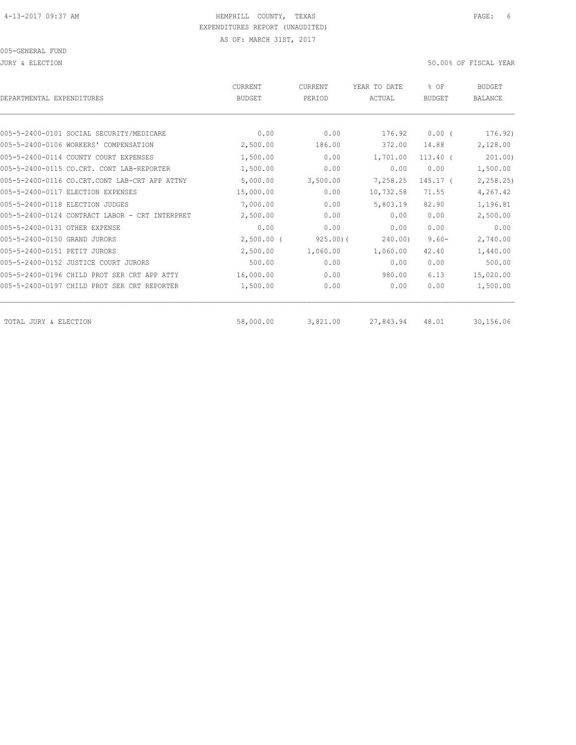JURY & ELECTION 50.00% OF FISCAL YEAR

| DEPARTMENTAL EXPENDITURES                      | <b>CURRENT</b><br><b>BUDGET</b> | <b>CURRENT</b><br>PERIOD | YEAR TO DATE<br>ACTUAL | % OF<br><b>BUDGET</b> | <b>BUDGET</b><br><b>BALANCE</b> |
|------------------------------------------------|---------------------------------|--------------------------|------------------------|-----------------------|---------------------------------|
|                                                |                                 |                          |                        |                       |                                 |
| 005-5-2400-0101 SOCIAL SECURITY/MEDICARE       | 0.00                            | 0.00                     | 176.92                 | 0.00(                 | 176.92)                         |
| 005-5-2400-0106 WORKERS' COMPENSATION          | 2,500.00                        | 186.00                   | 372.00                 | 14.88                 | 2,128.00                        |
| 005-5-2400-0114 COUNTY COURT EXPENSES          | 1,500.00                        | 0.00                     | 1,701.00               | $113.40$ (            | 201.00                          |
| 005-5-2400-0115 CO.CRT. CONT LAB-REPORTER      | 1,500.00                        | 0.00                     | 0.00                   | 0.00                  | 1,500.00                        |
| 005-5-2400-0116 CO.CRT.CONT LAB-CRT APP ATTNY  | 5,000.00                        | 3,500.00                 | 7,258.25               | 145.17 (              | 2, 258.25                       |
| 005-5-2400-0117 ELECTION EXPENSES              | 15,000.00                       | 0.00                     | 10,732.58              | 71.55                 | 4,267.42                        |
| 005-5-2400-0118 ELECTION JUDGES                | 7,000.00                        | 0.00                     | 5,803.19               | 82.90                 | 1,196.81                        |
| 005-5-2400-0124 CONTRACT LABOR - CRT INTERPRET | 2,500.00                        | 0.00                     | 0.00                   | 0.00                  | 2,500.00                        |
| 005-5-2400-0131 OTHER EXPENSE                  | 0.00                            | 0.00                     | 0.00                   | 0.00                  | 0.00                            |
| 005-5-2400-0150 GRAND JURORS                   | $2,500.00$ (                    | 925.00(                  | 240.00)                | $9.60 -$              | 2,740.00                        |
| 005-5-2400-0151 PETIT JURORS                   | 2,500.00                        | 1,060.00                 | 1,060.00               | 42.40                 | 1,440.00                        |
| 005-5-2400-0152 JUSTICE COURT JURORS           | 500.00                          | 0.00                     | 0.00                   | 0.00                  | 500.00                          |
| 005-5-2400-0196 CHILD PROT SER CRT APP ATTY    | 16,000.00                       | 0.00                     | 980.00                 | 6.13                  | 15,020.00                       |
| 005-5-2400-0197 CHILD PROT SER CRT REPORTER    | 1,500.00                        | 0.00                     | 0.00                   | 0.00                  | 1,500.00                        |
| TOTAL JURY & ELECTION                          | 58,000.00                       | 3,821.00                 | 27,843.94              | 48.01                 | 30,156.06                       |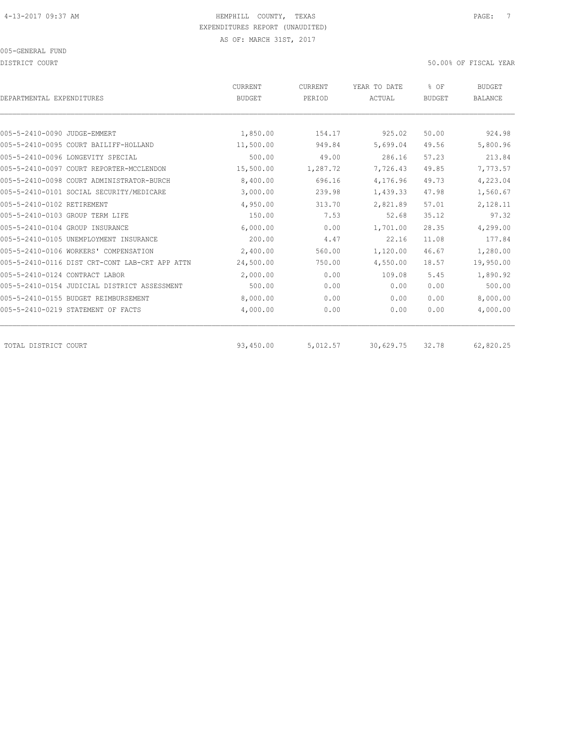DISTRICT COURT 50.00% OF FISCAL YEAR

| DEPARTMENTAL EXPENDITURES                      | <b>CURRENT</b><br><b>BUDGET</b> | CURRENT<br>PERIOD | YEAR TO DATE<br>ACTUAL | % OF<br><b>BUDGET</b> | <b>BUDGET</b><br><b>BALANCE</b> |
|------------------------------------------------|---------------------------------|-------------------|------------------------|-----------------------|---------------------------------|
|                                                |                                 |                   |                        |                       |                                 |
| 005-5-2410-0090 JUDGE-EMMERT                   | 1,850.00                        | 154.17            | 925.02                 | 50.00                 | 924.98                          |
| 005-5-2410-0095 COURT BAILIFF-HOLLAND          | 11,500.00                       | 949.84            | 5,699.04               | 49.56                 | 5,800.96                        |
| 005-5-2410-0096 LONGEVITY SPECIAL              | 500.00                          | 49.00             | 286.16                 | 57.23                 | 213.84                          |
| 005-5-2410-0097 COURT REPORTER-MCCLENDON       | 15,500.00                       | 1,287.72          | 7,726.43               | 49.85                 | 7,773.57                        |
| 005-5-2410-0098 COURT ADMINISTRATOR-BURCH      | 8,400.00                        | 696.16            | 4,176.96               | 49.73                 | 4,223.04                        |
| 005-5-2410-0101 SOCIAL SECURITY/MEDICARE       | 3,000.00                        | 239.98            | 1,439.33               | 47.98                 | 1,560.67                        |
| 005-5-2410-0102 RETIREMENT                     | 4,950.00                        | 313.70            | 2,821.89               | 57.01                 | 2,128.11                        |
| 005-5-2410-0103 GROUP TERM LIFE                | 150.00                          | 7.53              | 52.68                  | 35.12                 | 97.32                           |
| 005-5-2410-0104 GROUP INSURANCE                | 6,000.00                        | 0.00              | 1,701.00               | 28.35                 | 4,299.00                        |
| 005-5-2410-0105 UNEMPLOYMENT INSURANCE         | 200.00                          | 4.47              | 22.16                  | 11.08                 | 177.84                          |
| 005-5-2410-0106 WORKERS' COMPENSATION          | 2,400.00                        | 560.00            | 1,120.00               | 46.67                 | 1,280.00                        |
| 005-5-2410-0116 DIST CRT-CONT LAB-CRT APP ATTN | 24,500.00                       | 750.00            | 4,550.00               | 18.57                 | 19,950.00                       |
| 005-5-2410-0124 CONTRACT LABOR                 | 2,000.00                        | 0.00              | 109.08                 | 5.45                  | 1,890.92                        |
| 005-5-2410-0154 JUDICIAL DISTRICT ASSESSMENT   | 500.00                          | 0.00              | 0.00                   | 0.00                  | 500.00                          |
| 005-5-2410-0155 BUDGET REIMBURSEMENT           | 8,000.00                        | 0.00              | 0.00                   | 0.00                  | 8,000.00                        |
| 005-5-2410-0219 STATEMENT OF FACTS             | 4,000.00                        | 0.00              | 0.00                   | 0.00                  | 4,000.00                        |
| TOTAL DISTRICT COURT                           | 93,450.00                       | 5,012.57          | 30,629.75              | 32.78                 | 62,820.25                       |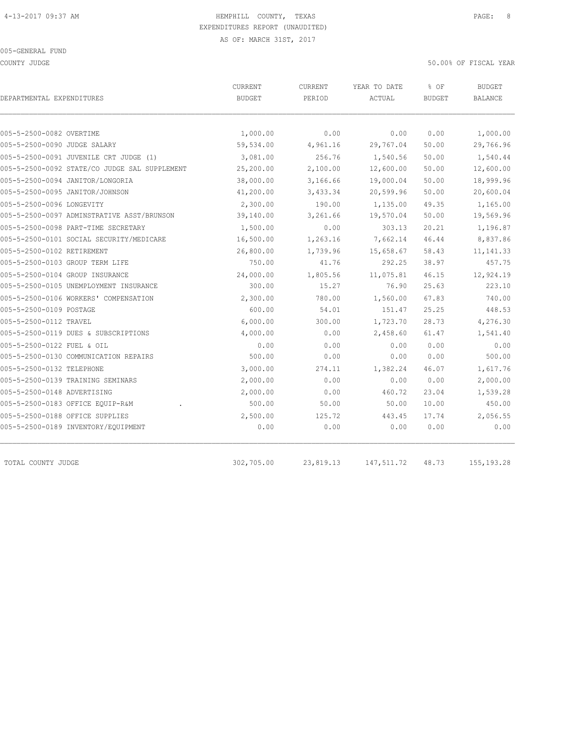COUNTY JUDGE 50.00% OF FISCAL YEAR

| DEPARTMENTAL EXPENDITURES    |                                               | <b>CURRENT</b><br><b>BUDGET</b> | <b>CURRENT</b><br>PERIOD | YEAR TO DATE<br>ACTUAL | % OF<br><b>BUDGET</b> | <b>BUDGET</b><br>BALANCE |
|------------------------------|-----------------------------------------------|---------------------------------|--------------------------|------------------------|-----------------------|--------------------------|
|                              |                                               |                                 |                          |                        |                       |                          |
| 005-5-2500-0082 OVERTIME     |                                               | 1,000.00                        | 0.00                     | 0.00                   | 0.00                  | 1,000.00                 |
| 005-5-2500-0090 JUDGE SALARY |                                               | 59,534.00                       | 4,961.16                 | 29,767.04              | 50.00                 | 29,766.96                |
|                              | 005-5-2500-0091 JUVENILE CRT JUDGE (1)        | 3,081.00                        | 256.76                   | 1,540.56               | 50.00                 | 1,540.44                 |
|                              | 005-5-2500-0092 STATE/CO JUDGE SAL SUPPLEMENT | 25,200.00                       | 2,100.00                 | 12,600.00              | 50.00                 | 12,600.00                |
|                              | 005-5-2500-0094 JANITOR/LONGORIA              | 38,000.00                       | 3,166.66                 | 19,000.04              | 50.00                 | 18,999.96                |
|                              | 005-5-2500-0095 JANITOR/JOHNSON               | 41,200.00                       | 3,433.34                 | 20,599.96              | 50.00                 | 20,600.04                |
| 005-5-2500-0096 LONGEVITY    |                                               | 2,300.00                        | 190.00                   | 1,135.00               | 49.35                 | 1,165.00                 |
|                              | 005-5-2500-0097 ADMINSTRATIVE ASST/BRUNSON    | 39,140.00                       | 3,261.66                 | 19,570.04              | 50.00                 | 19,569.96                |
|                              | 005-5-2500-0098 PART-TIME SECRETARY           | 1,500.00                        | 0.00                     | 303.13                 | 20.21                 | 1,196.87                 |
|                              | 005-5-2500-0101 SOCIAL SECURITY/MEDICARE      | 16,500.00                       | 1,263.16                 | 7,662.14               | 46.44                 | 8,837.86                 |
| 005-5-2500-0102 RETIREMENT   |                                               | 26,800.00                       | 1,739.96                 | 15,658.67              | 58.43                 | 11, 141.33               |
|                              | 005-5-2500-0103 GROUP TERM LIFE               | 750.00                          | 41.76                    | 292.25                 | 38.97                 | 457.75                   |
|                              | 005-5-2500-0104 GROUP INSURANCE               | 24,000.00                       | 1,805.56                 | 11,075.81              | 46.15                 | 12,924.19                |
|                              | 005-5-2500-0105 UNEMPLOYMENT INSURANCE        | 300.00                          | 15.27                    | 76.90                  | 25.63                 | 223.10                   |
|                              | 005-5-2500-0106 WORKERS' COMPENSATION         | 2,300.00                        | 780.00                   | 1,560.00               | 67.83                 | 740.00                   |
| 005-5-2500-0109 POSTAGE      |                                               | 600.00                          | 54.01                    | 151.47                 | 25.25                 | 448.53                   |
| 005-5-2500-0112 TRAVEL       |                                               | 6,000.00                        | 300.00                   | 1,723.70               | 28.73                 | 4,276.30                 |
|                              | 005-5-2500-0119 DUES & SUBSCRIPTIONS          | 4,000.00                        | 0.00                     | 2,458.60               | 61.47                 | 1,541.40                 |
| 005-5-2500-0122 FUEL & OIL   |                                               | 0.00                            | 0.00                     | 0.00                   | 0.00                  | 0.00                     |
|                              | 005-5-2500-0130 COMMUNICATION REPAIRS         | 500.00                          | 0.00                     | 0.00                   | 0.00                  | 500.00                   |
| 005-5-2500-0132 TELEPHONE    |                                               | 3,000.00                        | 274.11                   | 1,382.24               | 46.07                 | 1,617.76                 |
|                              | 005-5-2500-0139 TRAINING SEMINARS             | 2,000.00                        | 0.00                     | 0.00                   | 0.00                  | 2,000.00                 |
| 005-5-2500-0148 ADVERTISING  |                                               | 2,000.00                        | 0.00                     | 460.72                 | 23.04                 | 1,539.28                 |
|                              | 005-5-2500-0183 OFFICE EQUIP-R&M              | 500.00                          | 50.00                    | 50.00                  | 10.00                 | 450.00                   |
|                              | 005-5-2500-0188 OFFICE SUPPLIES               | 2,500.00                        | 125.72                   | 443.45                 | 17.74                 | 2,056.55                 |
|                              | 005-5-2500-0189 INVENTORY/EQUIPMENT           | 0.00                            | 0.00                     | 0.00                   | 0.00                  | 0.00                     |
|                              |                                               |                                 |                          |                        |                       |                          |

TOTAL COUNTY JUDGE 302,705.00 23,819.13 147,511.72 48.73 155,193.28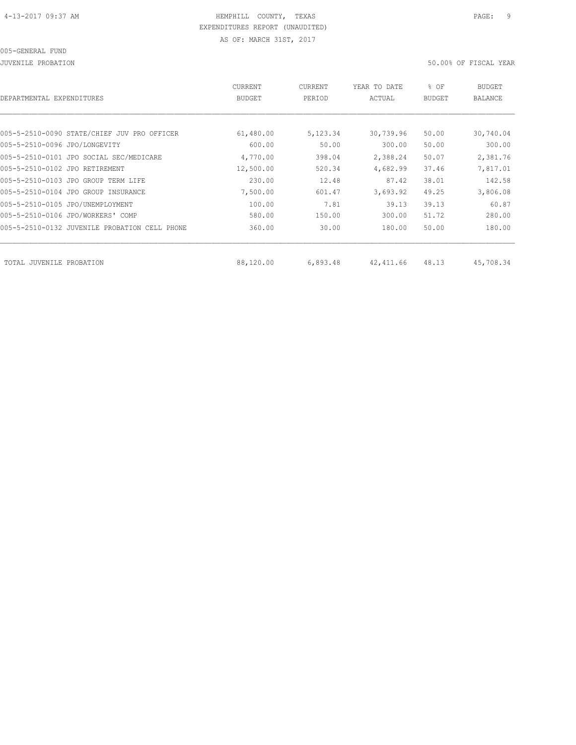JUVENILE PROBATION 50.00% OF FISCAL YEAR

| DEPARTMENTAL EXPENDITURES                     | <b>CURRENT</b><br><b>BUDGET</b> | CURRENT<br>PERIOD | YEAR TO DATE<br>ACTUAL | % OF<br><b>BUDGET</b> | BUDGET<br><b>BALANCE</b> |
|-----------------------------------------------|---------------------------------|-------------------|------------------------|-----------------------|--------------------------|
|                                               |                                 |                   |                        |                       |                          |
| 005-5-2510-0090 STATE/CHIEF JUV PRO OFFICER   | 61,480.00                       | 5,123.34          | 30,739.96              | 50.00                 | 30,740.04                |
| 005-5-2510-0096 JPO/LONGEVITY                 | 600.00                          | 50.00             | 300.00                 | 50.00                 | 300.00                   |
| 005-5-2510-0101 JPO SOCIAL SEC/MEDICARE       | 4,770.00                        | 398.04            | 2,388.24               | 50.07                 | 2,381.76                 |
| 005-5-2510-0102 JPO RETIREMENT                | 12,500.00                       | 520.34            | 4,682.99               | 37.46                 | 7,817.01                 |
| 005-5-2510-0103 JPO GROUP TERM LIFE           | 230.00                          | 12.48             | 87.42                  | 38.01                 | 142.58                   |
| 005-5-2510-0104 JPO GROUP INSURANCE           | 7,500.00                        | 601.47            | 3,693.92               | 49.25                 | 3,806.08                 |
| 005-5-2510-0105 JPO/UNEMPLOYMENT              | 100.00                          | 7.81              | 39.13                  | 39.13                 | 60.87                    |
| 005-5-2510-0106 JPO/WORKERS' COMP             | 580.00                          | 150.00            | 300.00                 | 51.72                 | 280.00                   |
| 005-5-2510-0132 JUVENILE PROBATION CELL PHONE | 360.00                          | 30.00             | 180.00                 | 50.00                 | 180.00                   |
|                                               |                                 |                   |                        |                       |                          |
| TOTAL JUVENILE<br>PROBATION                   | 88,120.00                       | 6,893.48          | 42,411.66              | 48.13                 | 45,708.34                |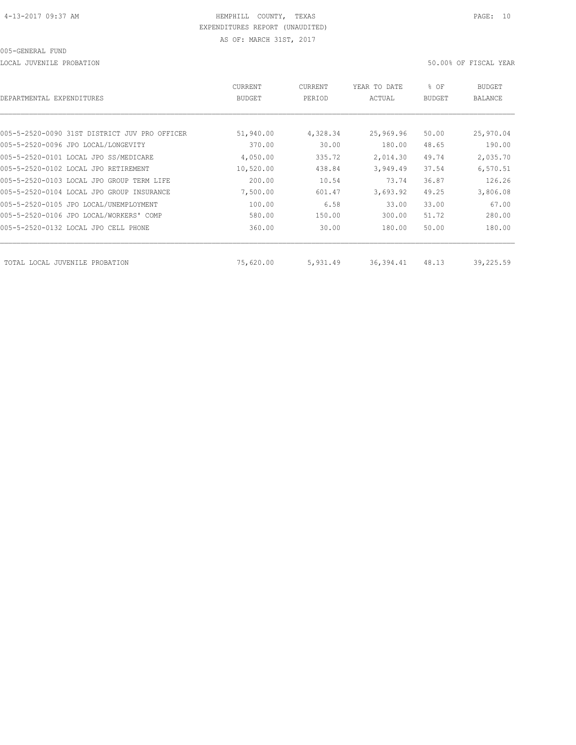LOCAL JUVENILE PROBATION 50.00% OF FISCAL YEAR

| DEPARTMENTAL EXPENDITURES                     | CURRENT<br>BUDGET | CURRENT<br>PERIOD | YEAR TO DATE<br>ACTUAL | % OF<br>BUDGET | BUDGET<br>BALANCE |
|-----------------------------------------------|-------------------|-------------------|------------------------|----------------|-------------------|
|                                               |                   |                   |                        |                |                   |
| 005-5-2520-0090 31ST DISTRICT JUV PRO OFFICER | 51,940.00         | 4,328.34          | 25,969.96              | 50.00          | 25,970.04         |
| 005-5-2520-0096 JPO LOCAL/LONGEVITY           | 370.00            | 30.00             | 180.00                 | 48.65          | 190.00            |
| 005-5-2520-0101 LOCAL JPO SS/MEDICARE         | 4,050.00          | 335.72            | 2,014.30               | 49.74          | 2,035.70          |
| 005-5-2520-0102 LOCAL JPO RETIREMENT          | 10,520.00         | 438.84            | 3,949.49               | 37.54          | 6,570.51          |
| 005-5-2520-0103 LOCAL JPO GROUP TERM LIFE     | 200.00            | 10.54             | 73.74                  | 36.87          | 126.26            |
| 005-5-2520-0104 LOCAL JPO GROUP INSURANCE     | 7,500.00          | 601.47            | 3,693.92               | 49.25          | 3,806.08          |
| 005-5-2520-0105 JPO LOCAL/UNEMPLOYMENT        | 100.00            | 6.58              | 33.00                  | 33.00          | 67.00             |
| 005-5-2520-0106 JPO LOCAL/WORKERS' COMP       | 580.00            | 150.00            | 300.00                 | 51.72          | 280.00            |
| 005-5-2520-0132 LOCAL JPO CELL PHONE          | 360.00            | 30.00             | 180.00                 | 50.00          | 180.00            |
| TOTAL LOCAL JUVENILE PROBATION                | 75,620.00         | 5,931.49          | 36,394.41              | 48.13          | 39,225.59         |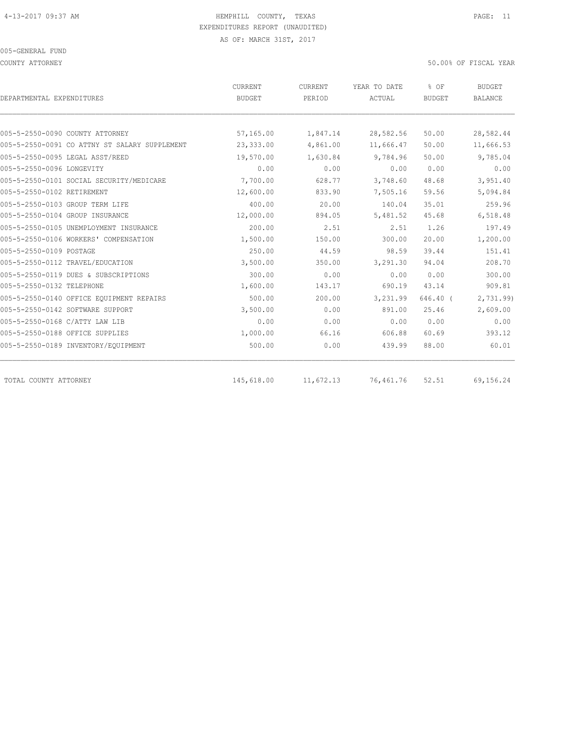COUNTY ATTORNEY 50.00% OF FISCAL YEAR

| DEPARTMENTAL EXPENDITURES                     | <b>CURRENT</b><br><b>BUDGET</b> | <b>CURRENT</b><br>PERIOD | YEAR TO DATE<br>ACTUAL | % OF<br><b>BUDGET</b> | <b>BUDGET</b><br><b>BALANCE</b> |
|-----------------------------------------------|---------------------------------|--------------------------|------------------------|-----------------------|---------------------------------|
|                                               |                                 |                          |                        |                       |                                 |
| 005-5-2550-0090 COUNTY ATTORNEY               | 57,165.00                       | 1,847.14                 | 28,582.56              | 50.00                 | 28,582.44                       |
| 005-5-2550-0091 CO ATTNY ST SALARY SUPPLEMENT | 23,333.00                       | 4,861.00                 | 11,666.47              | 50.00                 | 11,666.53                       |
| 005-5-2550-0095 LEGAL ASST/REED               | 19,570.00                       | 1,630.84                 | 9,784.96               | 50.00                 | 9,785.04                        |
| 005-5-2550-0096 LONGEVITY                     | 0.00                            | 0.00                     | 0.00                   | 0.00                  | 0.00                            |
| 005-5-2550-0101 SOCIAL SECURITY/MEDICARE      | 7,700.00                        | 628.77                   | 3,748.60               | 48.68                 | 3,951.40                        |
| 005-5-2550-0102 RETIREMENT                    | 12,600.00                       | 833.90                   | 7,505.16               | 59.56                 | 5,094.84                        |
| 005-5-2550-0103 GROUP TERM LIFE               | 400.00                          | 20.00                    | 140.04                 | 35.01                 | 259.96                          |
| 005-5-2550-0104 GROUP INSURANCE               | 12,000.00                       | 894.05                   | 5,481.52               | 45.68                 | 6,518.48                        |
| 005-5-2550-0105 UNEMPLOYMENT INSURANCE        | 200.00                          | 2.51                     | 2.51                   | 1.26                  | 197.49                          |
| 005-5-2550-0106 WORKERS' COMPENSATION         | 1,500.00                        | 150.00                   | 300.00                 | 20.00                 | 1,200.00                        |
| 005-5-2550-0109 POSTAGE                       | 250.00                          | 44.59                    | 98.59                  | 39.44                 | 151.41                          |
| 005-5-2550-0112 TRAVEL/EDUCATION              | 3,500.00                        | 350.00                   | 3,291.30               | 94.04                 | 208.70                          |
| 005-5-2550-0119 DUES & SUBSCRIPTIONS          | 300.00                          | 0.00                     | 0.00                   | 0.00                  | 300.00                          |
| 005-5-2550-0132 TELEPHONE                     | 1,600.00                        | 143.17                   | 690.19                 | 43.14                 | 909.81                          |
| 005-5-2550-0140 OFFICE EQUIPMENT REPAIRS      | 500.00                          | 200.00                   | 3,231.99               | $646.40$ (            | 2,731.99)                       |
| 005-5-2550-0142 SOFTWARE SUPPORT              | 3,500.00                        | 0.00                     | 891.00                 | 25.46                 | 2,609.00                        |
| 005-5-2550-0168 C/ATTY LAW LIB                | 0.00                            | 0.00                     | 0.00                   | 0.00                  | 0.00                            |
| 005-5-2550-0188 OFFICE SUPPLIES               | 1,000.00                        | 66.16                    | 606.88                 | 60.69                 | 393.12                          |
| 005-5-2550-0189 INVENTORY/EQUIPMENT           | 500.00                          | 0.00                     | 439.99                 | 88.00                 | 60.01                           |
| TOTAL COUNTY ATTORNEY                         | 145,618.00                      | 11,672.13                | 76,461.76              | 52.51                 | 69,156.24                       |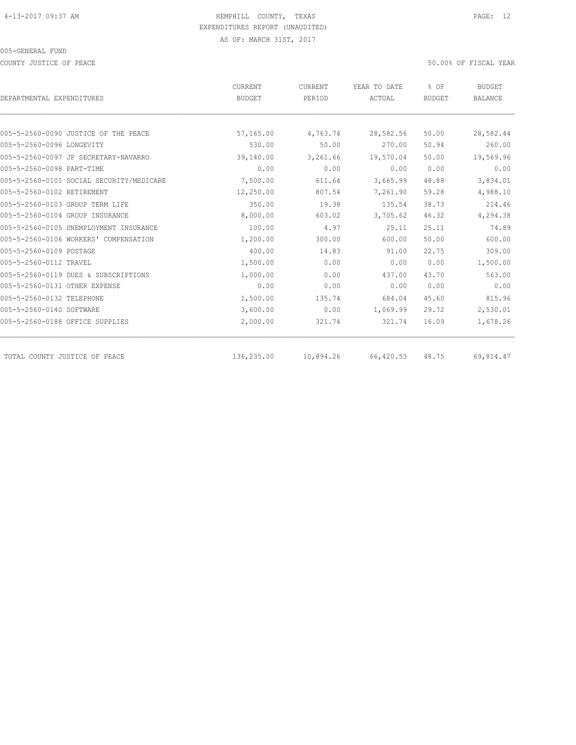COUNTY JUSTICE OF PEACE 50.00% OF FISCAL YEAR

|                                          | CURRENT       | CURRENT   | YEAR TO DATE | % OF          | <b>BUDGET</b>  |
|------------------------------------------|---------------|-----------|--------------|---------------|----------------|
| DEPARTMENTAL EXPENDITURES                | <b>BUDGET</b> | PERIOD    | ACTUAL       | <b>BUDGET</b> | <b>BALANCE</b> |
|                                          |               |           |              |               |                |
| 005-5-2560-0090 JUSTICE OF THE PEACE     | 57,165.00     | 4,763.74  | 28,582.56    | 50.00         | 28,582.44      |
| 005-5-2560-0096 LONGEVITY                | 530.00        | 50.00     | 270.00       | 50.94         | 260.00         |
| 005-5-2560-0097 JP SECRETARY-NAVARRO     | 39,140.00     | 3,261.66  | 19,570.04    | 50.00         | 19,569.96      |
| 005-5-2560-0098 PART-TIME                | 0.00          | 0.00      | 0.00         | 0.00          | 0.00           |
| 005-5-2560-0101 SOCIAL SECURITY/MEDICARE | 7,500.00      | 611.64    | 3,665.99     | 48.88         | 3,834.01       |
| 005-5-2560-0102 RETIREMENT               | 12,250.00     | 807.54    | 7,261.90     | 59.28         | 4,988.10       |
| 005-5-2560-0103 GROUP TERM LIFE          | 350.00        | 19.38     | 135.54       | 38.73         | 214.46         |
| 005-5-2560-0104 GROUP INSURANCE          | 8,000.00      | 603.02    | 3,705.62     | 46.32         | 4,294.38       |
| 005-5-2560-0105 UNEMPLOYMENT INSURANCE   | 100.00        | 4.97      | 25.11        | 25.11         | 74.89          |
| 005-5-2560-0106 WORKERS' COMPENSATION    | 1,200.00      | 300.00    | 600.00       | 50.00         | 600.00         |
| 005-5-2560-0109 POSTAGE                  | 400.00        | 14.83     | 91.00        | 22.75         | 309.00         |
| 005-5-2560-0112 TRAVEL                   | 1,500.00      | 0.00      | 0.00         | 0.00          | 1,500.00       |
| 005-5-2560-0119 DUES & SUBSCRIPTIONS     | 1,000.00      | 0.00      | 437.00       | 43.70         | 563.00         |
| 005-5-2560-0131 OTHER EXPENSE            | 0.00          | 0.00      | 0.00         | 0.00          | 0.00           |
| 005-5-2560-0132 TELEPHONE                | 1,500.00      | 135.74    | 684.04       | 45.60         | 815.96         |
| 005-5-2560-0140 SOFTWARE                 | 3,600.00      | 0.00      | 1,069.99     | 29.72         | 2,530.01       |
| 005-5-2560-0188 OFFICE SUPPLIES          | 2,000.00      | 321.74    | 321.74       | 16.09         | 1,678.26       |
| TOTAL COUNTY JUSTICE OF PEACE            | 136,235.00    | 10,894.26 | 66,420.53    | 48.75         | 69,814.47      |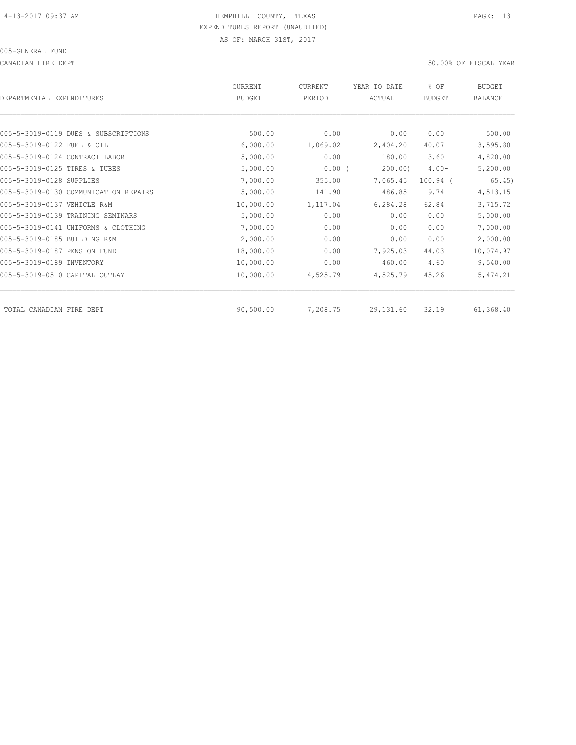CANADIAN FIRE DEPT 50.00% OF FISCAL YEAR

| DEPARTMENTAL EXPENDITURES             | <b>CURRENT</b><br><b>BUDGET</b> | CURRENT<br>PERIOD | YEAR TO DATE<br>ACTUAL | % OF<br><b>BUDGET</b> | <b>BUDGET</b><br><b>BALANCE</b> |
|---------------------------------------|---------------------------------|-------------------|------------------------|-----------------------|---------------------------------|
|                                       |                                 |                   |                        |                       |                                 |
| 005-5-3019-0119 DUES & SUBSCRIPTIONS  | 500.00                          | 0.00              | 0.00                   | 0.00                  | 500.00                          |
| 005-5-3019-0122 FUEL & OIL            | 6,000.00                        | 1,069.02          | 2,404.20               | 40.07                 | 3,595.80                        |
| 005-5-3019-0124 CONTRACT LABOR        | 5,000.00                        | 0.00              | 180.00                 | 3.60                  | 4,820.00                        |
| 005-5-3019-0125 TIRES & TUBES         | 5,000.00                        | $0.00$ (          | 200.00                 | $4.00 -$              | 5,200.00                        |
| 005-5-3019-0128 SUPPLIES              | 7,000.00                        | 355.00            | 7,065.45               | $100.94$ (            | 65.45)                          |
| 005-5-3019-0130 COMMUNICATION REPAIRS | 5,000.00                        | 141.90            | 486.85                 | 9.74                  | 4,513.15                        |
| 005-5-3019-0137 VEHICLE R&M           | 10,000.00                       | 1,117.04          | 6,284.28               | 62.84                 | 3,715.72                        |
| 005-5-3019-0139 TRAINING SEMINARS     | 5,000.00                        | 0.00              | 0.00                   | 0.00                  | 5,000.00                        |
| 005-5-3019-0141 UNIFORMS & CLOTHING   | 7,000.00                        | 0.00              | 0.00                   | 0.00                  | 7,000.00                        |
| 005-5-3019-0185 BUILDING R&M          | 2,000.00                        | 0.00              | 0.00                   | 0.00                  | 2,000.00                        |
| 005-5-3019-0187 PENSION FUND          | 18,000.00                       | 0.00              | 7,925.03               | 44.03                 | 10,074.97                       |
| 005-5-3019-0189 INVENTORY             | 10,000.00                       | 0.00              | 460.00                 | 4.60                  | 9,540.00                        |
| 005-5-3019-0510 CAPITAL OUTLAY        | 10,000.00                       | 4,525.79          | 4,525.79               | 45.26                 | 5,474.21                        |
| TOTAL CANADIAN FIRE DEPT              | 90,500.00                       | 7,208.75          | 29, 131.60             | 32.19                 | 61,368.40                       |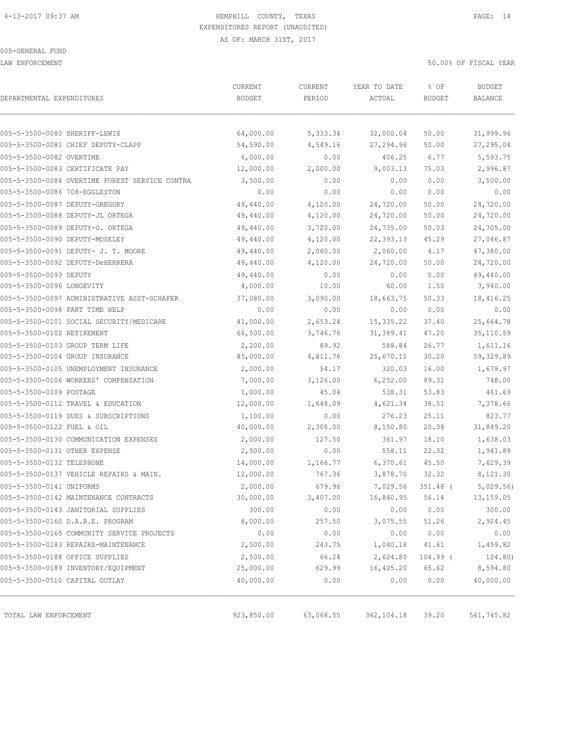LAW ENFORCEMENT 50.00% OF FISCAL YEAR

| DEPARTMENTAL EXPENDITURES      |                                                | CURRENT<br><b>BUDGET</b> | CURRENT<br>PERIOD | YEAR TO DATE<br>ACTUAL | % OF<br><b>BUDGET</b> | <b>BUDGET</b><br><b>BALANCE</b> |
|--------------------------------|------------------------------------------------|--------------------------|-------------------|------------------------|-----------------------|---------------------------------|
|                                |                                                |                          |                   |                        |                       |                                 |
| 005-5-3500-0080 SHERIFF-LEWIS  |                                                | 64,000.00                | 5,333.34          | 32,000.04              | 50.00                 | 31,999.96                       |
|                                | 005-5-3500-0081 CHIEF DEPUTY-CLAPP             | 54,590.00                | 4,549.16          | 27,294.96              | 50.00                 | 27,295.04                       |
| 005-5-3500-0082 OVERTIME       |                                                | 6,000.00                 | 0.00              | 406.25                 | 6.77                  | 5,593.75                        |
|                                | 005-5-3500-0083 CERTIFICATE PAY                | 12,000.00                | 2,000.00          | 9,003.13               | 75.03                 | 2,996.87                        |
|                                | 005-5-3500-0084 OVERTIME FOREST SERVICE CONTRA | 3,500.00                 | 0.00              | 0.00                   | 0.00                  | 3,500.00                        |
| 005-5-3500-0086 708-EGGLESTON  |                                                | 0.00                     | 0.00              | 0.00                   | 0.00                  | 0.00                            |
| 005-5-3500-0087 DEPUTY-GREGORY |                                                | 49,440.00                | 4,120.00          | 24,720.00              | 50.00                 | 24,720.00                       |
|                                | 005-5-3500-0088 DEPUTY-JL ORTEGA               | 49,440.00                | 4,120.00          | 24,720.00              | 50.00                 | 24,720.00                       |
|                                | 005-5-3500-0089 DEPUTY-O. ORTEGA               | 49,440.00                | 3,720.00          | 24,735.00              | 50.03                 | 24,705.00                       |
| 005-5-3500-0090 DEPUTY-MOSELEY |                                                | 49,440.00                | 4,120.00          | 22,393.13              | 45.29                 | 27,046.87                       |
|                                | 005-5-3500-0091 DEPUTY- J. T. MOORE            | 49,440.00                | 2,060.00          | 2,060.00               | 4.17                  | 47,380.00                       |
|                                | 005-5-3500-0092 DEPUTY-DeHERRERA               | 49,440.00                | 4,120.00          | 24,720.00              | 50.00                 | 24,720.00                       |
| 005-5-3500-0093 DEPUTY         |                                                | 49,440.00                | 0.00              | 0.00                   | 0.00                  | 49,440.00                       |
| 005-5-3500-0096 LONGEVITY      |                                                | 4,000.00                 | 10.00             | 60.00                  | 1.50                  | 3,940.00                        |
|                                | 005-5-3500-0097 ADMINISTRATIVE ASST-SCHAFER    | 37,080.00                | 3,090.00          | 18,663.75              | 50.33                 | 18,416.25                       |
| 005-5-3500-0098 PART TIME HELP |                                                | 0.00                     | 0.00              | 0.00                   | 0.00                  | 0.00                            |
|                                | 005-5-3500-0101 SOCIAL SECURITY/MEDICARE       | 41,000.00                | 2,653.24          | 15,335.22              | 37.40                 | 25,664.78                       |
| 005-5-3500-0102 RETIREMENT     |                                                | 66,500.00                | 3,746.76          | 31,389.41              | 47.20                 | 35, 110.59                      |
|                                | 005-5-3500-0103 GROUP TERM LIFE                | 2,200.00                 | 89.92             | 588.84                 | 26.77                 | 1,611.16                        |
|                                | 005-5-3500-0104 GROUP INSURANCE                | 85,000.00                | 4,811.76          | 25,670.11              | 30.20                 | 59,329.89                       |
|                                | 005-5-3500-0105 UNEMPLOYMENT INSURANCE         | 2,000.00                 | 54.17             | 320.03                 | 16.00                 | 1,679.97                        |
|                                | 005-5-3500-0106 WORKERS' COMPENSATION          | 7,000.00                 | 3,126.00          | 6,252.00               | 89.31                 | 748.00                          |
| 005-5-3500-0109 POSTAGE        |                                                | 1,000.00                 | 45.04             | 538.31                 | 53.83                 | 461.69                          |
|                                | 005-5-3500-0112 TRAVEL & EDUCATION             | 12,000.00                | 1,648.09          | 4,621.34               | 38.51                 | 7,378.66                        |
|                                | 005-5-3500-0119 DUES & SUBSCRIPTIONS           | 1,100.00                 | 0.00              | 276.23                 | 25.11                 | 823.77                          |
| 005-5-3500-0122 FUEL & OIL     |                                                | 40,000.00                | 2,305.00          | 8,150.80               | 20.38                 | 31,849.20                       |
|                                | 005-5-3500-0130 COMMUNICATION EXPENSES         | 2,000.00                 | 127.50            | 361.97                 | 18.10                 | 1,638.03                        |
| 005-5-3500-0131 OTHER EXPENSE  |                                                | 2,500.00                 | 0.00              | 558.11                 | 22.32                 | 1,941.89                        |
| 005-5-3500-0132 TELEPHONE      |                                                | 14,000.00                | 1,166.77          | 6,370.61               | 45.50                 | 7,629.39                        |
|                                | 005-5-3500-0137 VEHICLE REPAIRS & MAIN.        | 12,000.00                | 767.36            | 3,878.70               | 32.32                 | 8,121.30                        |
| 005-5-3500-0141 UNIFORMS       |                                                | 2,000.00                 | 679.96            | 7,029.56               | $351.48$ (            | 5,029.56                        |
|                                | 005-5-3500-0142 MAINTENANCE CONTRACTS          | 30,000.00                | 3,407.00          | 16,840.95              | 56.14                 | 13,159.05                       |
|                                | 005-5-3500-0143 JANITORIAL SUPPLIES            | 300.00                   | 0.00              | 0.00                   | 0.00                  | 300.00                          |
|                                | 005-5-3500-0160 D.A.R.E. PROGRAM               | 6,000.00                 | 257.50            | 3,075.55               | 51.26                 | 2,924.45                        |
|                                | 005-5-3500-0165 COMMUNITY SERVICE PROJECTS     | 0.00                     | 0.00              | 0.00                   | 0.00                  | 0.00                            |
|                                | 005-5-3500-0183 REPAIRS-MAINTENANCE            | 2,500.00                 | 243.75            | 1,040.18               | 41.61                 | 1,459.82                        |
|                                | 005-5-3500-0188 OFFICE SUPPLIES                | 2,500.00                 | 66.24             | 2,624.80               | 104.99 (              | 124.80)                         |
|                                | 005-5-3500-0189 INVENTORY/EQUIPMENT            | 25,000.00                | 629.99            | 16,405.20              | 65.62                 | 8,594.80                        |
| 005-5-3500-0510 CAPITAL OUTLAY |                                                | 40,000.00                | 0.00              | 0.00                   | 0.00                  | 40,000.00                       |
|                                |                                                |                          |                   |                        |                       |                                 |
| TOTAL LAW ENFORCEMENT          |                                                | 923,850.00               | 63,068.55         | 362, 104.18            | 39.20                 | 561,745.82                      |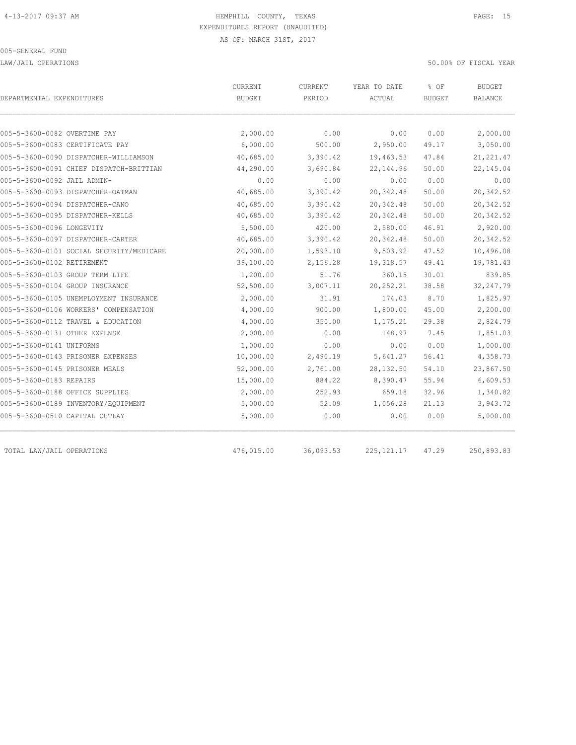LAW/JAIL OPERATIONS 50.00% OF FISCAL YEAR

| DEPARTMENTAL EXPENDITURES       |                                          | CURRENT<br><b>BUDGET</b> | <b>CURRENT</b><br>PERIOD | YEAR TO DATE<br>ACTUAL | % OF<br><b>BUDGET</b> | <b>BUDGET</b><br><b>BALANCE</b> |
|---------------------------------|------------------------------------------|--------------------------|--------------------------|------------------------|-----------------------|---------------------------------|
|                                 |                                          |                          |                          |                        |                       |                                 |
| 005-5-3600-0082 OVERTIME PAY    |                                          | 2,000.00                 | 0.00                     | 0.00                   | 0.00                  | 2,000.00                        |
| 005-5-3600-0083 CERTIFICATE PAY |                                          | 6,000.00                 | 500.00                   | 2,950.00               | 49.17                 | 3,050.00                        |
|                                 | 005-5-3600-0090 DISPATCHER-WILLIAMSON    | 40,685.00                | 3,390.42                 | 19,463.53              | 47.84                 | 21, 221.47                      |
|                                 | 005-5-3600-0091 CHIEF DISPATCH-BRITTIAN  | 44,290.00                | 3,690.84                 | 22, 144.96             | 50.00                 | 22, 145.04                      |
| 005-5-3600-0092 JAIL ADMIN-     |                                          | 0.00                     | 0.00                     | 0.00                   | 0.00                  | 0.00                            |
|                                 | 005-5-3600-0093 DISPATCHER-OATMAN        | 40,685.00                | 3,390.42                 | 20, 342.48             | 50.00                 | 20,342.52                       |
| 005-5-3600-0094 DISPATCHER-CANO |                                          | 40,685.00                | 3,390.42                 | 20,342.48              | 50.00                 | 20,342.52                       |
|                                 | 005-5-3600-0095 DISPATCHER-KELLS         | 40,685.00                | 3,390.42                 | 20, 342.48             | 50.00                 | 20,342.52                       |
| 005-5-3600-0096 LONGEVITY       |                                          | 5,500.00                 | 420.00                   | 2,580.00               | 46.91                 | 2,920.00                        |
|                                 | 005-5-3600-0097 DISPATCHER-CARTER        | 40,685.00                | 3,390.42                 | 20,342.48              | 50.00                 | 20,342.52                       |
|                                 | 005-5-3600-0101 SOCIAL SECURITY/MEDICARE | 20,000.00                | 1,593.10                 | 9,503.92               | 47.52                 | 10,496.08                       |
| 005-5-3600-0102 RETIREMENT      |                                          | 39,100.00                | 2,156.28                 | 19,318.57              | 49.41                 | 19,781.43                       |
| 005-5-3600-0103 GROUP TERM LIFE |                                          | 1,200.00                 | 51.76                    | 360.15                 | 30.01                 | 839.85                          |
| 005-5-3600-0104 GROUP INSURANCE |                                          | 52,500.00                | 3,007.11                 | 20, 252.21             | 38.58                 | 32, 247.79                      |
|                                 | 005-5-3600-0105 UNEMPLOYMENT INSURANCE   | 2,000.00                 | 31.91                    | 174.03                 | 8.70                  | 1,825.97                        |
|                                 | 005-5-3600-0106 WORKERS' COMPENSATION    | 4,000.00                 | 900.00                   | 1,800.00               | 45.00                 | 2,200.00                        |
|                                 | 005-5-3600-0112 TRAVEL & EDUCATION       | 4,000.00                 | 350.00                   | 1,175.21               | 29.38                 | 2,824.79                        |
| 005-5-3600-0131 OTHER EXPENSE   |                                          | 2,000.00                 | 0.00                     | 148.97                 | 7.45                  | 1,851.03                        |
| 005-5-3600-0141 UNIFORMS        |                                          | 1,000.00                 | 0.00                     | 0.00                   | 0.00                  | 1,000.00                        |
|                                 | 005-5-3600-0143 PRISONER EXPENSES        | 10,000.00                | 2,490.19                 | 5,641.27               | 56.41                 | 4,358.73                        |
| 005-5-3600-0145 PRISONER MEALS  |                                          | 52,000.00                | 2,761.00                 | 28, 132.50             | 54.10                 | 23,867.50                       |
| 005-5-3600-0183 REPAIRS         |                                          | 15,000.00                | 884.22                   | 8,390.47               | 55.94                 | 6,609.53                        |
| 005-5-3600-0188 OFFICE SUPPLIES |                                          | 2,000.00                 | 252.93                   | 659.18                 | 32.96                 | 1,340.82                        |
|                                 | 005-5-3600-0189 INVENTORY/EQUIPMENT      | 5,000.00                 | 52.09                    | 1,056.28               | 21.13                 | 3,943.72                        |
| 005-5-3600-0510 CAPITAL OUTLAY  |                                          | 5,000.00                 | 0.00                     | 0.00                   | 0.00                  | 5,000.00                        |
| TOTAL LAW/JAIL OPERATIONS       |                                          | 476,015.00               | 36,093.53                | 225, 121.17            | 47.29                 | 250,893.83                      |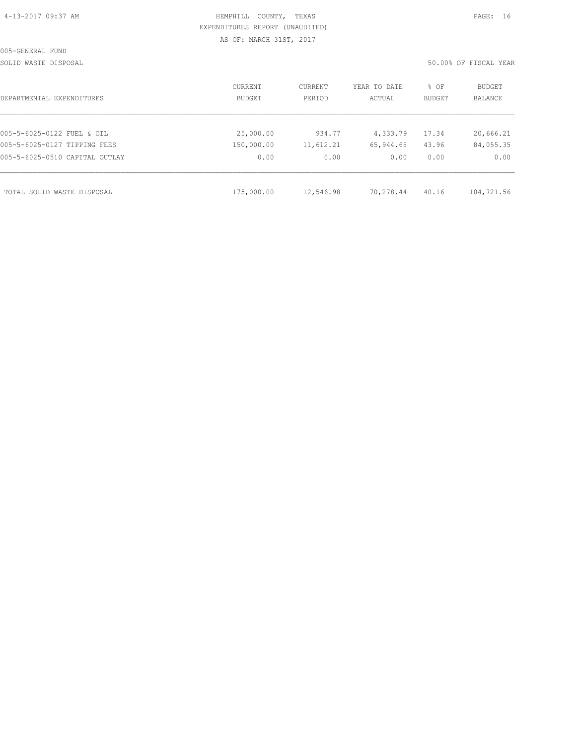|  | 4-13-2017 09:37 AM |  |
|--|--------------------|--|
|  |                    |  |

# HEMPHILL COUNTY, TEXAS **PAGE:** 16 EXPENDITURES REPORT (UNAUDITED) AS OF: MARCH 31ST, 2017

SOLID WASTE DISPOSAL SOLID WASTE SERVER THE SOLID WASTER SOLID WASTER THE SOLID WASTER SOLID WAS SOLID WAS A SERVER.

| DEPARTMENTAL EXPENDITURES      | CURRENT<br>BUDGET | CURRENT<br>PERIOD | YEAR TO DATE<br>ACTUAL | % OF<br>BUDGET | BUDGET<br>BALANCE |
|--------------------------------|-------------------|-------------------|------------------------|----------------|-------------------|
|                                |                   |                   |                        |                |                   |
| 005-5-6025-0122 FUEL & OIL     | 25,000.00         | 934.77            | 4,333.79               | 17.34          | 20,666.21         |
| 005-5-6025-0127 TIPPING FEES   | 150,000.00        | 11,612.21         | 65,944.65              | 43.96          | 84,055.35         |
| 005-5-6025-0510 CAPITAL OUTLAY | 0.00              | 0.00              | 0.00                   | 0.00           | 0.00              |
| TOTAL SOLID WASTE DISPOSAL     | 175,000.00        | 12,546.98         | 70,278.44              | 40.16          | 104,721.56        |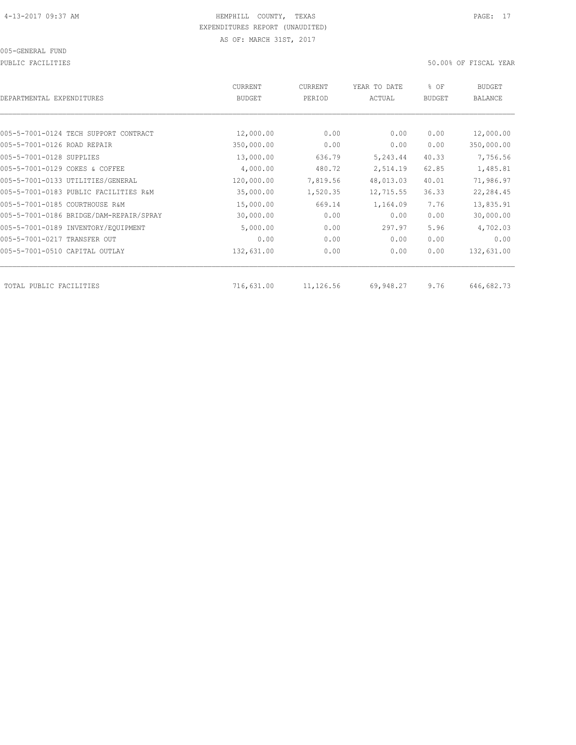PUBLIC FACILITIES 50.00% OF FISCAL YEAR

|                                         | CURRENT       | CURRENT   | YEAR TO DATE | % OF          | <b>BUDGET</b> |
|-----------------------------------------|---------------|-----------|--------------|---------------|---------------|
| DEPARTMENTAL EXPENDITURES               | <b>BUDGET</b> | PERIOD    | ACTUAL       | <b>BUDGET</b> | BALANCE       |
|                                         |               |           |              |               |               |
| 005-5-7001-0124 TECH SUPPORT CONTRACT   | 12,000.00     | 0.00      | 0.00         | 0.00          | 12,000.00     |
| 005-5-7001-0126 ROAD REPAIR             | 350,000.00    | 0.00      | 0.00         | 0.00          | 350,000.00    |
| 005-5-7001-0128 SUPPLIES                | 13,000.00     | 636.79    | 5,243.44     | 40.33         | 7,756.56      |
| 005-5-7001-0129 COKES & COFFEE          | 4,000.00      | 480.72    | 2,514.19     | 62.85         | 1,485.81      |
| 005-5-7001-0133 UTILITIES/GENERAL       | 120,000.00    | 7,819.56  | 48,013.03    | 40.01         | 71,986.97     |
| 005-5-7001-0183 PUBLIC FACILITIES R&M   | 35,000.00     | 1,520.35  | 12,715.55    | 36.33         | 22,284.45     |
| 005-5-7001-0185 COURTHOUSE R&M          | 15,000.00     | 669.14    | 1,164.09     | 7.76          | 13,835.91     |
| 005-5-7001-0186 BRIDGE/DAM-REPAIR/SPRAY | 30,000.00     | 0.00      | 0.00         | 0.00          | 30,000.00     |
| 005-5-7001-0189 INVENTORY/EQUIPMENT     | 5,000.00      | 0.00      | 297.97       | 5.96          | 4,702.03      |
| 005-5-7001-0217 TRANSFER OUT            | 0.00          | 0.00      | 0.00         | 0.00          | 0.00          |
| 005-5-7001-0510 CAPITAL OUTLAY          | 132,631.00    | 0.00      | 0.00         | 0.00          | 132,631.00    |
|                                         |               |           |              |               |               |
| TOTAL PUBLIC FACILITIES                 | 716,631.00    | 11,126.56 | 69,948.27    | 9.76          | 646,682.73    |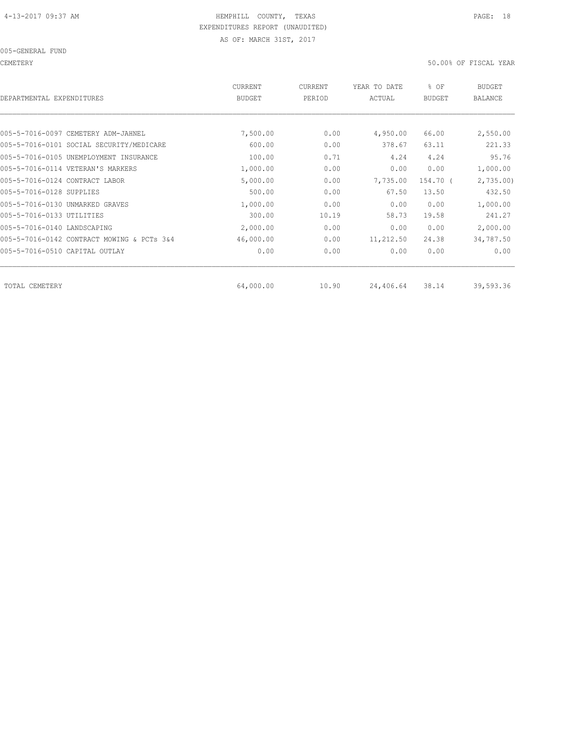CEMETERY 50.00% OF FISCAL YEAR

| CURRENT<br><b>BUDGET</b> | CURRENT<br>PERIOD | YEAR TO DATE<br>ACTUAL | % OF<br><b>BUDGET</b> | BUDGET<br><b>BALANCE</b> |
|--------------------------|-------------------|------------------------|-----------------------|--------------------------|
|                          |                   |                        |                       |                          |
| 7,500.00                 | 0.00              | 4,950.00               | 66.00                 | 2,550.00                 |
| 600.00                   | 0.00              | 378.67                 | 63.11                 | 221.33                   |
| 100.00                   | 0.71              | 4.24                   | 4.24                  | 95.76                    |
| 1,000.00                 | 0.00              | 0.00                   | 0.00                  | 1,000.00                 |
| 5,000.00                 | 0.00              | 7,735.00               | 154.70 (              | 2,735.00                 |
| 500.00                   | 0.00              | 67.50                  | 13.50                 | 432.50                   |
| 1,000.00                 | 0.00              | 0.00                   | 0.00                  | 1,000.00                 |
| 300.00                   | 10.19             | 58.73                  | 19.58                 | 241.27                   |
| 2,000.00                 | 0.00              | 0.00                   | 0.00                  | 2,000.00                 |
| 46,000.00                | 0.00              | 11,212.50              | 24.38                 | 34,787.50                |
| 0.00                     | 0.00              | 0.00                   | 0.00                  | 0.00                     |
|                          |                   |                        |                       | 39,593.36                |
|                          | 64,000.00         | 10.90                  | 24,406.64             | 38.14                    |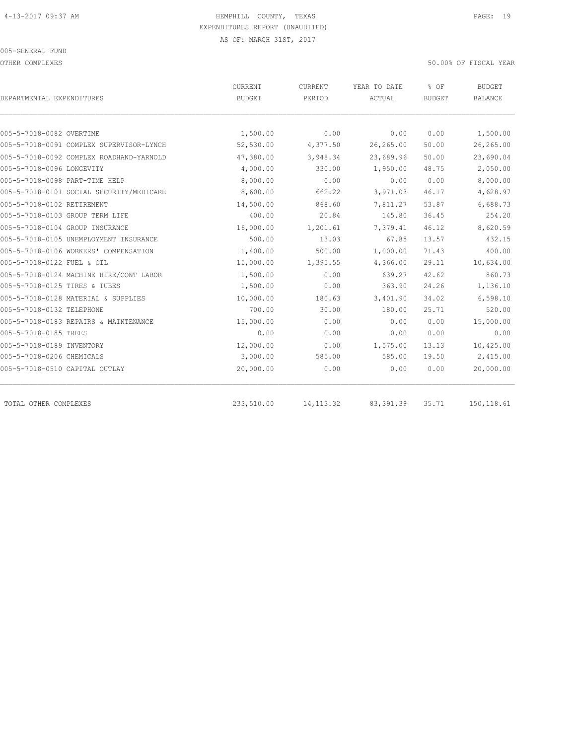OTHER COMPLEXES 50.00% OF FISCAL YEAR

|                                          | <b>CURRENT</b> | CURRENT    | YEAR TO DATE | % OF          | <b>BUDGET</b>  |
|------------------------------------------|----------------|------------|--------------|---------------|----------------|
| DEPARTMENTAL EXPENDITURES                | <b>BUDGET</b>  | PERIOD     | ACTUAL       | <b>BUDGET</b> | <b>BALANCE</b> |
|                                          |                |            |              |               |                |
| 005-5-7018-0082 OVERTIME                 | 1,500.00       | 0.00       | 0.00         | 0.00          | 1,500.00       |
| 005-5-7018-0091 COMPLEX SUPERVISOR-LYNCH | 52,530.00      | 4,377.50   | 26,265.00    | 50.00         | 26,265.00      |
| 005-5-7018-0092 COMPLEX ROADHAND-YARNOLD | 47,380.00      | 3,948.34   | 23,689.96    | 50.00         | 23,690.04      |
| 005-5-7018-0096 LONGEVITY                | 4,000.00       | 330.00     | 1,950.00     | 48.75         | 2,050.00       |
| 005-5-7018-0098 PART-TIME HELP           | 8,000.00       | 0.00       | 0.00         | 0.00          | 8,000.00       |
| 005-5-7018-0101 SOCIAL SECURITY/MEDICARE | 8,600.00       | 662.22     | 3,971.03     | 46.17         | 4,628.97       |
| 005-5-7018-0102 RETIREMENT               | 14,500.00      | 868.60     | 7,811.27     | 53.87         | 6,688.73       |
| 005-5-7018-0103 GROUP TERM LIFE          | 400.00         | 20.84      | 145.80       | 36.45         | 254.20         |
| 005-5-7018-0104 GROUP INSURANCE          | 16,000.00      | 1,201.61   | 7,379.41     | 46.12         | 8,620.59       |
| 005-5-7018-0105 UNEMPLOYMENT INSURANCE   | 500.00         | 13.03      | 67.85        | 13.57         | 432.15         |
| 005-5-7018-0106 WORKERS' COMPENSATION    | 1,400.00       | 500.00     | 1,000.00     | 71.43         | 400.00         |
| 005-5-7018-0122 FUEL & OIL               | 15,000.00      | 1,395.55   | 4,366.00     | 29.11         | 10,634.00      |
| 005-5-7018-0124 MACHINE HIRE/CONT LABOR  | 1,500.00       | 0.00       | 639.27       | 42.62         | 860.73         |
| 005-5-7018-0125 TIRES & TUBES            | 1,500.00       | 0.00       | 363.90       | 24.26         | 1,136.10       |
| 005-5-7018-0128 MATERIAL & SUPPLIES      | 10,000.00      | 180.63     | 3,401.90     | 34.02         | 6,598.10       |
| 005-5-7018-0132 TELEPHONE                | 700.00         | 30.00      | 180.00       | 25.71         | 520.00         |
| 005-5-7018-0183 REPAIRS & MAINTENANCE    | 15,000.00      | 0.00       | 0.00         | 0.00          | 15,000.00      |
| 005-5-7018-0185 TREES                    | 0.00           | 0.00       | 0.00         | 0.00          | 0.00           |
| 005-5-7018-0189 INVENTORY                | 12,000.00      | 0.00       | 1,575.00     | 13.13         | 10,425.00      |
| 005-5-7018-0206 CHEMICALS                | 3,000.00       | 585.00     | 585.00       | 19.50         | 2,415.00       |
| 005-5-7018-0510 CAPITAL OUTLAY           | 20,000.00      | 0.00       | 0.00         | 0.00          | 20,000.00      |
| TOTAL OTHER COMPLEXES                    | 233,510.00     | 14, 113.32 | 83, 391.39   | 35.71         | 150, 118.61    |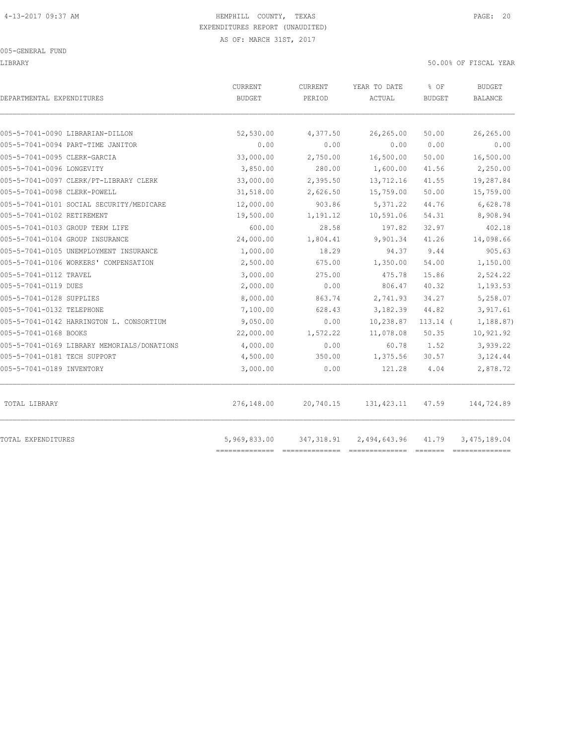| DEPARTMENTAL EXPENDITURES                   | <b>CURRENT</b><br><b>BUDGET</b> | <b>CURRENT</b><br>PERIOD | YEAR TO DATE<br>ACTUAL | % OF<br><b>BUDGET</b> | <b>BUDGET</b><br><b>BALANCE</b> |
|---------------------------------------------|---------------------------------|--------------------------|------------------------|-----------------------|---------------------------------|
| 005-5-7041-0090 LIBRARIAN-DILLON            | 52,530.00                       | 4,377.50                 | 26,265.00              | 50.00                 | 26,265.00                       |
| 005-5-7041-0094 PART-TIME JANITOR           | 0.00                            | 0.00                     | 0.00                   | 0.00                  | 0.00                            |
| 005-5-7041-0095 CLERK-GARCIA                | 33,000.00                       | 2,750.00                 | 16,500.00              | 50.00                 | 16,500.00                       |
| 005-5-7041-0096 LONGEVITY                   | 3,850.00                        | 280.00                   | 1,600.00               | 41.56                 | 2,250.00                        |
| 005-5-7041-0097 CLERK/PT-LIBRARY CLERK      | 33,000.00                       | 2,395.50                 | 13,712.16              | 41.55                 | 19,287.84                       |
| 005-5-7041-0098 CLERK-POWELL                | 31,518.00                       | 2,626.50                 | 15,759.00              | 50.00                 | 15,759.00                       |
| 005-5-7041-0101 SOCIAL SECURITY/MEDICARE    | 12,000.00                       | 903.86                   | 5, 371.22              | 44.76                 | 6,628.78                        |
| 005-5-7041-0102 RETIREMENT                  | 19,500.00                       | 1,191.12                 | 10,591.06              | 54.31                 | 8,908.94                        |
| 005-5-7041-0103 GROUP TERM LIFE             | 600.00                          | 28.58                    | 197.82                 | 32.97                 | 402.18                          |
| 005-5-7041-0104 GROUP INSURANCE             | 24,000.00                       | 1,804.41                 | 9,901.34               | 41.26                 | 14,098.66                       |
| 005-5-7041-0105 UNEMPLOYMENT INSURANCE      | 1,000.00                        | 18.29                    | 94.37                  | 9.44                  | 905.63                          |
| 005-5-7041-0106 WORKERS' COMPENSATION       | 2,500.00                        | 675.00                   | 1,350.00               | 54.00                 | 1,150.00                        |
| 005-5-7041-0112 TRAVEL                      | 3,000.00                        | 275.00                   | 475.78                 | 15.86                 | 2,524.22                        |
| 005-5-7041-0119 DUES                        | 2,000.00                        | 0.00                     | 806.47                 | 40.32                 | 1,193.53                        |
| 005-5-7041-0128 SUPPLIES                    | 8,000.00                        | 863.74                   | 2,741.93               | 34.27                 | 5,258.07                        |
| 005-5-7041-0132 TELEPHONE                   | 7,100.00                        | 628.43                   | 3,182.39               | 44.82                 | 3,917.61                        |
| 005-5-7041-0142 HARRINGTON L. CONSORTIUM    | 9,050.00                        | 0.00                     | 10,238.87              | $113.14$ (            | 1,188.87)                       |
| 005-5-7041-0168 BOOKS                       | 22,000.00                       | 1,572.22                 | 11,078.08              | 50.35                 | 10,921.92                       |
| 005-5-7041-0169 LIBRARY MEMORIALS/DONATIONS | 4,000.00                        | 0.00                     | 60.78                  | 1.52                  | 3,939.22                        |
| 005-5-7041-0181 TECH SUPPORT                | 4,500.00                        | 350.00                   | 1,375.56               | 30.57                 | 3,124.44                        |
| 005-5-7041-0189 INVENTORY                   | 3,000.00                        | 0.00                     | 121.28                 | 4.04                  | 2,878.72                        |
| TOTAL LIBRARY                               | 276,148.00                      | 20,740.15                | 131,423.11             | 47.59                 | 144,724.89                      |
| TOTAL EXPENDITURES                          | 5,969,833.00                    | 347,318.91               | 2,494,643.96           | 41.79                 | 3, 475, 189.04                  |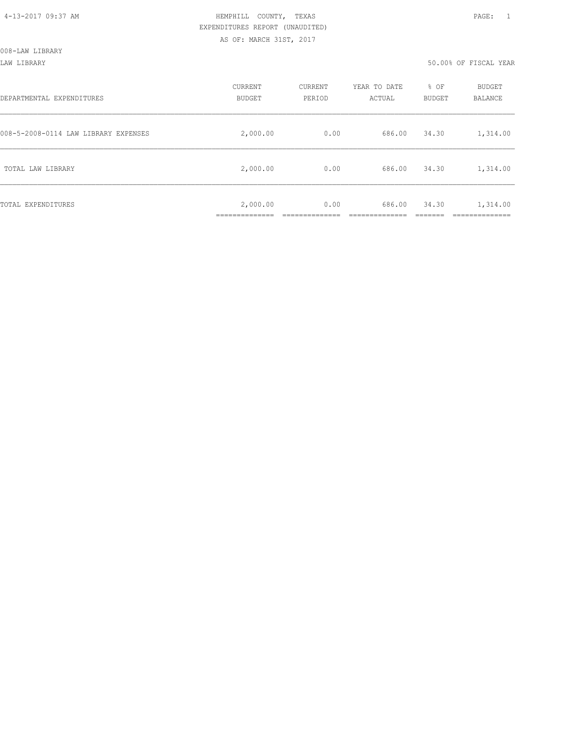LAW LIBRARY 50.00% OF FISCAL YEAR

| DEPARTMENTAL EXPENDITURES            | CURRENT<br><b>BUDGET</b> | CURRENT<br>PERIOD | YEAR TO DATE<br>ACTUAL | % OF<br><b>BUDGET</b> | <b>BUDGET</b><br><b>BALANCE</b>     |
|--------------------------------------|--------------------------|-------------------|------------------------|-----------------------|-------------------------------------|
| 008-5-2008-0114 LAW LIBRARY EXPENSES | 2,000.00                 | 0.00              | 686.00                 | 34.30                 | 1,314.00                            |
| TOTAL LAW LIBRARY                    | 2,000.00                 | 0.00              | 686.00                 | 34.30                 | 1,314.00                            |
| TOTAL EXPENDITURES                   | 2,000.00<br>___________  | 0.00              | 686.00                 | 34.30                 | 1,314.00<br>_________<br>__________ |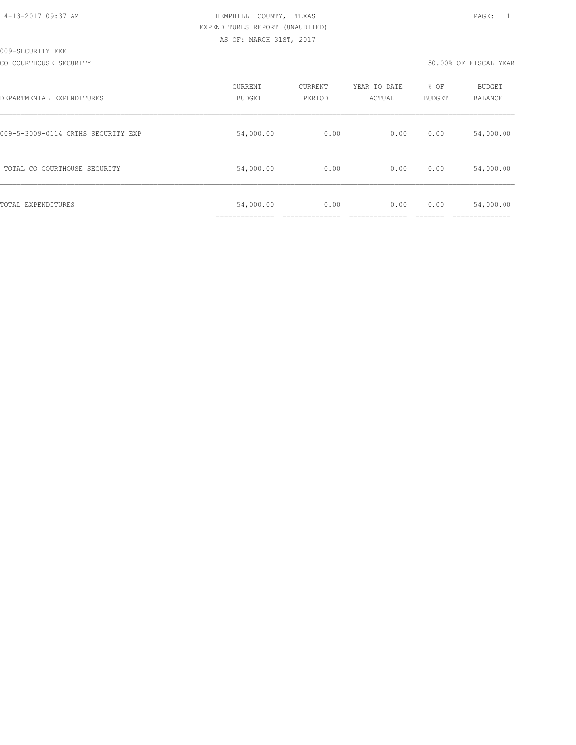| 4-13-2017 09:37 AM |  |
|--------------------|--|
|                    |  |

# HEMPHILL COUNTY, TEXAS **PAGE:** 1 EXPENDITURES REPORT (UNAUDITED) AS OF: MARCH 31ST, 2017

CO COURTHOUSE SECURITY **COURTHOUSE SECURITY** 

| DEPARTMENTAL EXPENDITURES          | CURRENT<br><b>BUDGET</b> | CURRENT<br>PERIOD | YEAR TO DATE<br>ACTUAL | % OF<br>BUDGET | BUDGET<br><b>BALANCE</b> |
|------------------------------------|--------------------------|-------------------|------------------------|----------------|--------------------------|
| 009-5-3009-0114 CRTHS SECURITY EXP | 54,000.00                | 0.00              | 0.00                   | 0.00           | 54,000.00                |
| TOTAL CO COURTHOUSE SECURITY       | 54,000.00                | 0.00              | 0.00                   | 0.00           | 54,000.00                |
| TOTAL EXPENDITURES                 | 54,000.00                | 0.00              | 0.00                   | 0.00           | 54,000.00                |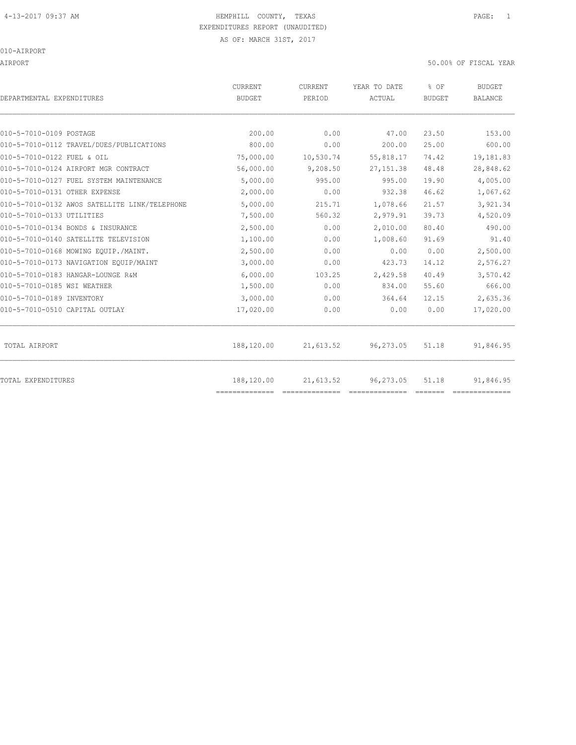AIRPORT 50.00% OF FISCAL YEAR

| DEPARTMENTAL EXPENDITURES                     | <b>CURRENT</b><br><b>BUDGET</b> | <b>CURRENT</b><br>PERIOD | YEAR TO DATE<br>ACTUAL | % OF<br><b>BUDGET</b> | <b>BUDGET</b><br><b>BALANCE</b> |
|-----------------------------------------------|---------------------------------|--------------------------|------------------------|-----------------------|---------------------------------|
|                                               |                                 |                          |                        |                       |                                 |
| 010-5-7010-0109 POSTAGE                       | 200.00                          | 0.00                     | 47.00                  | 23.50                 | 153.00                          |
| 010-5-7010-0112 TRAVEL/DUES/PUBLICATIONS      | 800.00                          | 0.00                     | 200.00                 | 25.00                 | 600.00                          |
| 010-5-7010-0122 FUEL & OIL                    | 75,000.00                       | 10,530.74                | 55,818.17              | 74.42                 | 19,181.83                       |
| 010-5-7010-0124 AIRPORT MGR CONTRACT          | 56,000.00                       | 9,208.50                 | 27, 151.38             | 48.48                 | 28,848.62                       |
| 010-5-7010-0127 FUEL SYSTEM MAINTENANCE       | 5,000.00                        | 995.00                   | 995.00                 | 19.90                 | 4,005.00                        |
| 010-5-7010-0131 OTHER EXPENSE                 | 2,000.00                        | 0.00                     | 932.38                 | 46.62                 | 1,067.62                        |
| 010-5-7010-0132 AWOS SATELLITE LINK/TELEPHONE | 5,000.00                        | 215.71                   | 1,078.66               | 21.57                 | 3,921.34                        |
| 010-5-7010-0133 UTILITIES                     | 7,500.00                        | 560.32                   | 2,979.91               | 39.73                 | 4,520.09                        |
| 010-5-7010-0134 BONDS & INSURANCE             | 2,500.00                        | 0.00                     | 2,010.00               | 80.40                 | 490.00                          |
| 010-5-7010-0140 SATELLITE TELEVISION          | 1,100.00                        | 0.00                     | 1,008.60               | 91.69                 | 91.40                           |
| 010-5-7010-0168 MOWING EQUIP./MAINT.          | 2,500.00                        | 0.00                     | 0.00                   | 0.00                  | 2,500.00                        |
| 010-5-7010-0173 NAVIGATION EQUIP/MAINT        | 3,000.00                        | 0.00                     | 423.73                 | 14.12                 | 2,576.27                        |
| 010-5-7010-0183 HANGAR-LOUNGE R&M             | 6,000.00                        | 103.25                   | 2,429.58               | 40.49                 | 3,570.42                        |
| 010-5-7010-0185 WSI WEATHER                   | 1,500.00                        | 0.00                     | 834.00                 | 55.60                 | 666.00                          |
| 010-5-7010-0189 INVENTORY                     | 3,000.00                        | 0.00                     | 364.64                 | 12.15                 | 2,635.36                        |
| 010-5-7010-0510 CAPITAL OUTLAY                | 17,020.00                       | 0.00                     | 0.00                   | 0.00                  | 17,020.00                       |
| TOTAL AIRPORT                                 | 188,120.00                      | 21,613.52                | 96,273.05              | 51.18                 | 91,846.95                       |
| TOTAL EXPENDITURES                            | 188,120.00                      | 21,613.52                | 96, 273.05             | 51.18                 | 91,846.95                       |
|                                               | ==============                  |                          |                        |                       |                                 |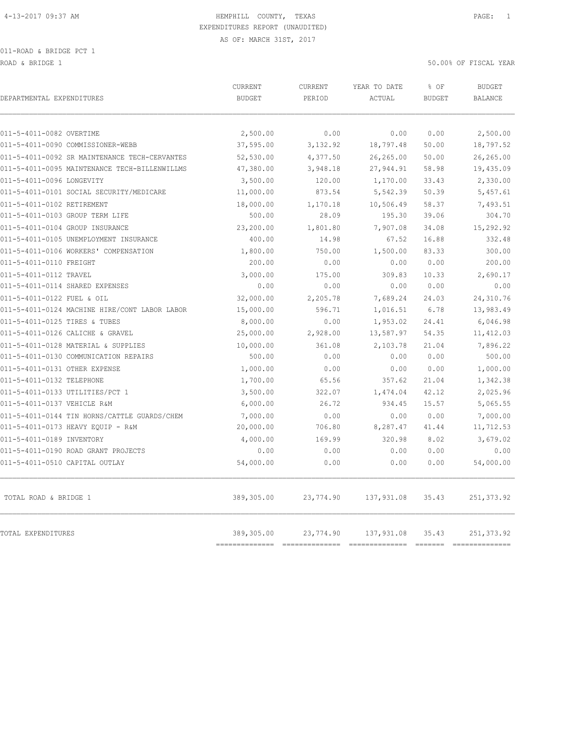ROAD & BRIDGE 1 50.00% OF FISCAL YEAR

| DEPARTMENTAL EXPENDITURES                     | <b>CURRENT</b><br><b>BUDGET</b> | <b>CURRENT</b><br>PERIOD | YEAR TO DATE<br>ACTUAL | % OF<br><b>BUDGET</b> | <b>BUDGET</b><br><b>BALANCE</b> |
|-----------------------------------------------|---------------------------------|--------------------------|------------------------|-----------------------|---------------------------------|
| 011-5-4011-0082 OVERTIME                      | 2,500.00                        | 0.00                     | 0.00                   | 0.00                  | 2,500.00                        |
| 011-5-4011-0090 COMMISSIONER-WEBB             | 37,595.00                       | 3,132.92                 | 18,797.48              | 50.00                 | 18,797.52                       |
| 011-5-4011-0092 SR MAINTENANCE TECH-CERVANTES | 52,530.00                       | 4,377.50                 | 26,265.00              | 50.00                 | 26,265.00                       |
| 011-5-4011-0095 MAINTENANCE TECH-BILLENWILLMS | 47,380.00                       | 3,948.18                 | 27,944.91              | 58.98                 | 19,435.09                       |
| 011-5-4011-0096 LONGEVITY                     | 3,500.00                        | 120.00                   | 1,170.00               | 33.43                 | 2,330.00                        |
| 011-5-4011-0101 SOCIAL SECURITY/MEDICARE      | 11,000.00                       | 873.54                   | 5,542.39               | 50.39                 | 5,457.61                        |
| 011-5-4011-0102 RETIREMENT                    | 18,000.00                       | 1,170.18                 | 10,506.49              | 58.37                 | 7,493.51                        |
| 011-5-4011-0103 GROUP TERM LIFE               | 500.00                          | 28.09                    | 195.30                 | 39.06                 | 304.70                          |
| 011-5-4011-0104 GROUP INSURANCE               | 23,200.00                       | 1,801.80                 | 7,907.08               | 34.08                 | 15,292.92                       |
| 011-5-4011-0105 UNEMPLOYMENT INSURANCE        | 400.00                          | 14.98                    | 67.52                  | 16.88                 | 332.48                          |
| 011-5-4011-0106 WORKERS' COMPENSATION         | 1,800.00                        | 750.00                   | 1,500.00               | 83.33                 | 300.00                          |
| 011-5-4011-0110 FREIGHT                       | 200.00                          | 0.00                     | 0.00                   | 0.00                  | 200.00                          |
| 011-5-4011-0112 TRAVEL                        | 3,000.00                        | 175.00                   | 309.83                 | 10.33                 | 2,690.17                        |
| 011-5-4011-0114 SHARED EXPENSES               | 0.00                            | 0.00                     | 0.00                   | 0.00                  | 0.00                            |
| 011-5-4011-0122 FUEL & OIL                    | 32,000.00                       | 2,205.78                 | 7,689.24               | 24.03                 | 24,310.76                       |
| 011-5-4011-0124 MACHINE HIRE/CONT LABOR LABOR | 15,000.00                       | 596.71                   | 1,016.51               | 6.78                  | 13,983.49                       |
| 011-5-4011-0125 TIRES & TUBES                 | 8,000.00                        | 0.00                     | 1,953.02               | 24.41                 | 6,046.98                        |
| 011-5-4011-0126 CALICHE & GRAVEL              | 25,000.00                       | 2,928.00                 | 13,587.97              | 54.35                 | 11, 412.03                      |
| 011-5-4011-0128 MATERIAL & SUPPLIES           | 10,000.00                       | 361.08                   | 2,103.78               | 21.04                 | 7,896.22                        |
| 011-5-4011-0130 COMMUNICATION REPAIRS         | 500.00                          | 0.00                     | 0.00                   | 0.00                  | 500.00                          |
| 011-5-4011-0131 OTHER EXPENSE                 | 1,000.00                        | 0.00                     | 0.00                   | 0.00                  | 1,000.00                        |
| 011-5-4011-0132 TELEPHONE                     | 1,700.00                        | 65.56                    | 357.62                 | 21.04                 | 1,342.38                        |
| 011-5-4011-0133 UTILITIES/PCT 1               | 3,500.00                        | 322.07                   | 1,474.04               | 42.12                 | 2,025.96                        |
| 011-5-4011-0137 VEHICLE R&M                   | 6,000.00                        | 26.72                    | 934.45                 | 15.57                 | 5,065.55                        |
| 011-5-4011-0144 TIN HORNS/CATTLE GUARDS/CHEM  | 7,000.00                        | 0.00                     | 0.00                   | 0.00                  | 7,000.00                        |
| 011-5-4011-0173 HEAVY EQUIP - R&M             | 20,000.00                       | 706.80                   | 8,287.47               | 41.44                 | 11,712.53                       |
| 011-5-4011-0189 INVENTORY                     | 4,000.00                        | 169.99                   | 320.98                 | 8.02                  | 3,679.02                        |
| 011-5-4011-0190 ROAD GRANT PROJECTS           | 0.00                            | 0.00                     | 0.00                   | 0.00                  | 0.00                            |
| 011-5-4011-0510 CAPITAL OUTLAY                | 54,000.00                       | 0.00                     | 0.00                   | 0.00                  | 54,000.00                       |
| TOTAL ROAD & BRIDGE 1                         | 389,305.00                      | 23,774.90                | 137,931.08             | 35.43                 | 251, 373.92                     |
| <b>TOTAL EXPENDITURES</b>                     | 389,305.00<br>========          | 23,774.90                | 137,931.08             | 35.43                 | 251, 373.92                     |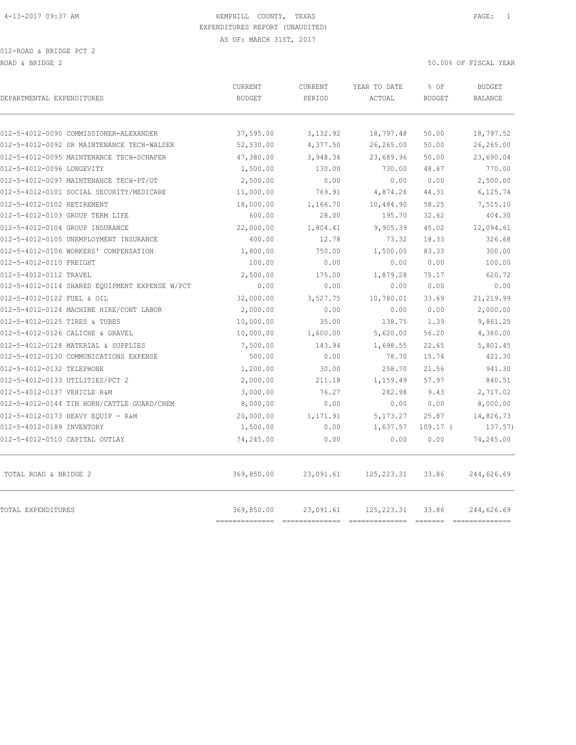| DEPARTMENTAL EXPENDITURES                      | <b>CURRENT</b><br><b>BUDGET</b> | CURRENT<br>PERIOD | YEAR TO DATE<br>ACTUAL                                                                                                                                                                                                                                                                                                                                                                                                                                                                       | % OF<br><b>BUDGET</b> | <b>BUDGET</b><br><b>BALANCE</b> |
|------------------------------------------------|---------------------------------|-------------------|----------------------------------------------------------------------------------------------------------------------------------------------------------------------------------------------------------------------------------------------------------------------------------------------------------------------------------------------------------------------------------------------------------------------------------------------------------------------------------------------|-----------------------|---------------------------------|
| 012-5-4012-0090 COMMISSIONER-ALEXANDER         | 37,595.00                       | 3,132.92          | 18,797.48                                                                                                                                                                                                                                                                                                                                                                                                                                                                                    | 50.00                 | 18,797.52                       |
| 012-5-4012-0092 SR MAINTENANCE TECH-WALSER     | 52,530.00                       | 4,377.50          | 26,265.00                                                                                                                                                                                                                                                                                                                                                                                                                                                                                    | 50.00                 | 26,265.00                       |
| 012-5-4012-0095 MAINTENANCE TECH-SCHAFER       | 47,380.00                       | 3,948.34          | 23,689.96                                                                                                                                                                                                                                                                                                                                                                                                                                                                                    | 50.00                 | 23,690.04                       |
| 012-5-4012-0096 LONGEVITY                      | 1,500.00                        | 130.00            | 730.00                                                                                                                                                                                                                                                                                                                                                                                                                                                                                       | 48.67                 | 770.00                          |
| 012-5-4012-0097 MAINTENANCE TECH-PT/OT         | 2,500.00                        | 0.00              | 0.00                                                                                                                                                                                                                                                                                                                                                                                                                                                                                         | 0.00                  | 2,500.00                        |
| 012-5-4012-0101 SOCIAL SECURITY/MEDICARE       | 11,000.00                       | 769.91            | 4,874.26                                                                                                                                                                                                                                                                                                                                                                                                                                                                                     | 44.31                 | 6,125.74                        |
| 012-5-4012-0102 RETIREMENT                     | 18,000.00                       | 1,166.70          | 10,484.90                                                                                                                                                                                                                                                                                                                                                                                                                                                                                    | 58.25                 | 7,515.10                        |
| 012-5-4012-0103 GROUP TERM LIFE                | 600.00                          | 28.00             | 195.70                                                                                                                                                                                                                                                                                                                                                                                                                                                                                       | 32.62                 | 404.30                          |
| 012-5-4012-0104 GROUP INSURANCE                | 22,000.00                       | 1,804.41          | 9,905.39                                                                                                                                                                                                                                                                                                                                                                                                                                                                                     | 45.02                 | 12,094.61                       |
| 012-5-4012-0105 UNEMPLOYMENT INSURANCE         | 400.00                          | 12.78             | 73.32                                                                                                                                                                                                                                                                                                                                                                                                                                                                                        | 18.33                 | 326.68                          |
| 012-5-4012-0106 WORKERS' COMPENSATION          | 1,800.00                        | 750.00            | 1,500.00                                                                                                                                                                                                                                                                                                                                                                                                                                                                                     | 83.33                 | 300.00                          |
| 012-5-4012-0110 FREIGHT                        | 100.00                          | 0.00              | 0.00                                                                                                                                                                                                                                                                                                                                                                                                                                                                                         | 0.00                  | 100.00                          |
| 012-5-4012-0112 TRAVEL                         | 2,500.00                        | 175.00            | 1,879.28                                                                                                                                                                                                                                                                                                                                                                                                                                                                                     | 75.17                 | 620.72                          |
| 012-5-4012-0114 SHARED EQUIPMENT EXPENSE W/PCT | 0.00                            | 0.00              | 0.00                                                                                                                                                                                                                                                                                                                                                                                                                                                                                         | 0.00                  | 0.00                            |
| 012-5-4012-0122 FUEL & OIL                     | 32,000.00                       | 3,527.75          | 10,780.01                                                                                                                                                                                                                                                                                                                                                                                                                                                                                    | 33.69                 | 21, 219.99                      |
| 012-5-4012-0124 MACHINE HIRE/CONT LABOR        | 2,000.00                        | 0.00              | 0.00                                                                                                                                                                                                                                                                                                                                                                                                                                                                                         | 0.00                  | 2,000.00                        |
| 012-5-4012-0125 TIRES & TUBES                  | 10,000.00                       | 35.00             | 138.75                                                                                                                                                                                                                                                                                                                                                                                                                                                                                       | 1.39                  | 9,861.25                        |
| 012-5-4012-0126 CALICHE & GRAVEL               | 10,000.00                       | 1,600.00          | 5,620.00                                                                                                                                                                                                                                                                                                                                                                                                                                                                                     | 56.20                 | 4,380.00                        |
| 012-5-4012-0128 MATERIAL & SUPPLIES            | 7,500.00                        | 143.94            | 1,698.55                                                                                                                                                                                                                                                                                                                                                                                                                                                                                     | 22.65                 | 5,801.45                        |
| 012-5-4012-0130 COMMUNICATIONS EXPENSE         | 500.00                          | 0.00              | 78.70                                                                                                                                                                                                                                                                                                                                                                                                                                                                                        | 15.74                 | 421.30                          |
| 012-5-4012-0132 TELEPHONE                      | 1,200.00                        | 30.00             | 258.70                                                                                                                                                                                                                                                                                                                                                                                                                                                                                       | 21.56                 | 941.30                          |
| 012-5-4012-0133 UTILITIES/PCT 2                | 2,000.00                        | 211.18            | 1,159.49                                                                                                                                                                                                                                                                                                                                                                                                                                                                                     | 57.97                 | 840.51                          |
| 012-5-4012-0137 VEHICLE R&M                    | 3,000.00                        | 76.27             | 282.98                                                                                                                                                                                                                                                                                                                                                                                                                                                                                       | 9.43                  | 2,717.02                        |
| 012-5-4012-0144 TIN HORN/CATTLE GUARD/CHEM     | 8,000.00                        | 0.00              | 0.00                                                                                                                                                                                                                                                                                                                                                                                                                                                                                         | 0.00                  | 8,000.00                        |
| 012-5-4012-0173 HEAVY EQUIP - R&M              | 20,000.00                       | 1,171.91          | 5, 173. 27                                                                                                                                                                                                                                                                                                                                                                                                                                                                                   | 25.87                 | 14,826.73                       |
| 012-5-4012-0189 INVENTORY                      | 1,500.00                        | 0.00              | 1,637.57                                                                                                                                                                                                                                                                                                                                                                                                                                                                                     | $109.17$ (            | 137.57)                         |
| 012-5-4012-0510 CAPITAL OUTLAY                 | 74,245.00                       | 0.00              | 0.00                                                                                                                                                                                                                                                                                                                                                                                                                                                                                         | 0.00                  | 74,245.00                       |
| TOTAL ROAD & BRIDGE 2                          | 369,850.00                      | 23,091.61         | 125, 223.31                                                                                                                                                                                                                                                                                                                                                                                                                                                                                  | 33.86                 | 244,626.69                      |
| TOTAL EXPENDITURES                             | 369,850.00<br>===========       | 23,091.61         | 125, 223.31<br>$\begin{minipage}{0.03\textwidth} \begin{tabular}{@{}l@{}} \hline \multicolumn{3}{c}{\textbf{r}} & \multicolumn{3}{c}{\textbf{r}} & \multicolumn{3}{c}{\textbf{r}} \\ \multicolumn{3}{c}{\textbf{r}} & \multicolumn{3}{c}{\textbf{r}} & \multicolumn{3}{c}{\textbf{r}} \\ \multicolumn{3}{c}{\textbf{r}} & \multicolumn{3}{c}{\textbf{r}} & \multicolumn{3}{c}{\textbf{r}} \\ \multicolumn{3}{c}{\textbf{r}} & \multicolumn{3}{c}{\textbf{r}} & \multicolumn{3}{c}{\textbf{r$ | 33.86                 | 244,626.69<br>-----------       |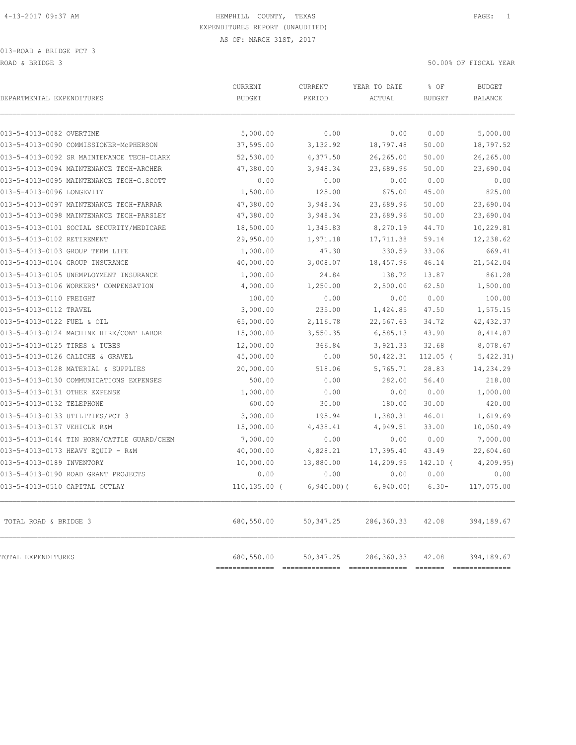| DEPARTMENTAL EXPENDITURES                  | <b>CURRENT</b><br><b>BUDGET</b> | CURRENT<br>PERIOD | YEAR TO DATE<br>ACTUAL | % OF                                                                                                                                                                                                                                                                                                                 | <b>BUDGET</b><br><b>BALANCE</b> |
|--------------------------------------------|---------------------------------|-------------------|------------------------|----------------------------------------------------------------------------------------------------------------------------------------------------------------------------------------------------------------------------------------------------------------------------------------------------------------------|---------------------------------|
|                                            |                                 |                   |                        | <b>BUDGET</b><br>0.00<br>50.00<br>50.00<br>50.00<br>0.00<br>45.00<br>50.00<br>50.00<br>44.70<br>59.14<br>33.06<br>46.14<br>13.87<br>62.50<br>0.00<br>47.50<br>34.72<br>43.90<br>32.68<br>$112.05$ (<br>28.83<br>56.40<br>0.00<br>30.00<br>46.01<br>33.00<br>0.00<br>43.49<br>$142.10$ (<br>0.00<br>$6.30 -$<br>42.08 |                                 |
| 013-5-4013-0082 OVERTIME                   | 5,000.00                        | 0.00              | 0.00                   |                                                                                                                                                                                                                                                                                                                      | 5,000.00                        |
| 013-5-4013-0090 COMMISSIONER-McPHERSON     | 37,595.00                       | 3,132.92          | 18,797.48              |                                                                                                                                                                                                                                                                                                                      | 18,797.52                       |
| 013-5-4013-0092 SR MAINTENANCE TECH-CLARK  | 52,530.00                       | 4,377.50          | 26,265.00              |                                                                                                                                                                                                                                                                                                                      | 26,265.00                       |
| 013-5-4013-0094 MAINTENANCE TECH-ARCHER    | 47,380.00                       | 3,948.34          | 23,689.96              |                                                                                                                                                                                                                                                                                                                      | 23,690.04                       |
| 013-5-4013-0095 MAINTENANCE TECH-G.SCOTT   | 0.00                            | 0.00              | 0.00                   |                                                                                                                                                                                                                                                                                                                      | 0.00                            |
| 013-5-4013-0096 LONGEVITY                  | 1,500.00                        | 125.00            | 675.00                 |                                                                                                                                                                                                                                                                                                                      | 825.00                          |
| 013-5-4013-0097 MAINTENANCE TECH-FARRAR    | 47,380.00                       | 3,948.34          | 23,689.96              |                                                                                                                                                                                                                                                                                                                      | 23,690.04                       |
| 013-5-4013-0098 MAINTENANCE TECH-PARSLEY   | 47,380.00                       | 3,948.34          | 23,689.96              |                                                                                                                                                                                                                                                                                                                      | 23,690.04                       |
| 013-5-4013-0101 SOCIAL SECURITY/MEDICARE   | 18,500.00                       | 1,345.83          | 8,270.19               |                                                                                                                                                                                                                                                                                                                      | 10,229.81                       |
| 013-5-4013-0102 RETIREMENT                 | 29,950.00                       | 1,971.18          | 17,711.38              |                                                                                                                                                                                                                                                                                                                      | 12,238.62                       |
| 013-5-4013-0103 GROUP TERM LIFE            | 1,000.00                        | 47.30             | 330.59                 |                                                                                                                                                                                                                                                                                                                      | 669.41                          |
| 013-5-4013-0104 GROUP INSURANCE            | 40,000.00                       | 3,008.07          | 18,457.96              |                                                                                                                                                                                                                                                                                                                      | 21,542.04                       |
| 013-5-4013-0105 UNEMPLOYMENT INSURANCE     | 1,000.00                        | 24.84             | 138.72                 |                                                                                                                                                                                                                                                                                                                      | 861.28                          |
| 013-5-4013-0106 WORKERS' COMPENSATION      | 4,000.00                        | 1,250.00          | 2,500.00               |                                                                                                                                                                                                                                                                                                                      | 1,500.00                        |
| 013-5-4013-0110 FREIGHT                    | 100.00                          | 0.00              | 0.00                   |                                                                                                                                                                                                                                                                                                                      | 100.00                          |
| 013-5-4013-0112 TRAVEL                     | 3,000.00                        | 235.00            | 1,424.85               |                                                                                                                                                                                                                                                                                                                      | 1,575.15                        |
| 013-5-4013-0122 FUEL & OIL                 | 65,000.00                       | 2,116.78          | 22,567.63              |                                                                                                                                                                                                                                                                                                                      | 42, 432.37                      |
| 013-5-4013-0124 MACHINE HIRE/CONT LABOR    | 15,000.00                       | 3,550.35          | 6, 585.13              |                                                                                                                                                                                                                                                                                                                      | 8,414.87                        |
| 013-5-4013-0125 TIRES & TUBES              | 12,000.00                       | 366.84            | 3,921.33               |                                                                                                                                                                                                                                                                                                                      | 8,078.67                        |
| 013-5-4013-0126 CALICHE & GRAVEL           | 45,000.00                       | 0.00              | 50,422.31              |                                                                                                                                                                                                                                                                                                                      | 5,422.31)                       |
| 013-5-4013-0128 MATERIAL & SUPPLIES        | 20,000.00                       | 518.06            | 5,765.71               |                                                                                                                                                                                                                                                                                                                      | 14,234.29                       |
| 013-5-4013-0130 COMMUNICATIONS EXPENSES    | 500.00                          | 0.00              | 282.00                 |                                                                                                                                                                                                                                                                                                                      | 218.00                          |
| 013-5-4013-0131 OTHER EXPENSE              | 1,000.00                        | 0.00              | 0.00                   |                                                                                                                                                                                                                                                                                                                      | 1,000.00                        |
| 013-5-4013-0132 TELEPHONE                  | 600.00                          | 30.00             | 180.00                 |                                                                                                                                                                                                                                                                                                                      | 420.00                          |
| 013-5-4013-0133 UTILITIES/PCT 3            | 3,000.00                        | 195.94            | 1,380.31               |                                                                                                                                                                                                                                                                                                                      | 1,619.69                        |
| 013-5-4013-0137 VEHICLE R&M                | 15,000.00                       | 4,438.41          | 4,949.51               |                                                                                                                                                                                                                                                                                                                      | 10,050.49                       |
| 013-5-4013-0144 TIN HORN/CATTLE GUARD/CHEM | 7,000.00                        | 0.00              | 0.00                   |                                                                                                                                                                                                                                                                                                                      | 7,000.00                        |
| 013-5-4013-0173 HEAVY EQUIP - R&M          | 40,000.00                       | 4,828.21          | 17,395.40              |                                                                                                                                                                                                                                                                                                                      | 22,604.60                       |
| 013-5-4013-0189 INVENTORY                  | 10,000.00                       | 13,880.00         | 14,209.95              |                                                                                                                                                                                                                                                                                                                      | 4, 209.95                       |
| 013-5-4013-0190 ROAD GRANT PROJECTS        | 0.00                            | 0.00              | 0.00                   |                                                                                                                                                                                                                                                                                                                      | 0.00                            |
| 013-5-4013-0510 CAPITAL OUTLAY             | $110, 135.00$ (                 | $6,940.00)$ (     | 6, 940.00              |                                                                                                                                                                                                                                                                                                                      | 117,075.00                      |
| TOTAL ROAD & BRIDGE 3                      | 680,550.00                      | 50, 347.25        | 286,360.33             |                                                                                                                                                                                                                                                                                                                      | 394,189.67                      |
| TOTAL EXPENDITURES                         | 680,550.00                      | 50, 347.25        | 286,360.33             | 42.08                                                                                                                                                                                                                                                                                                                | 394,189.67<br>$-22222222222$    |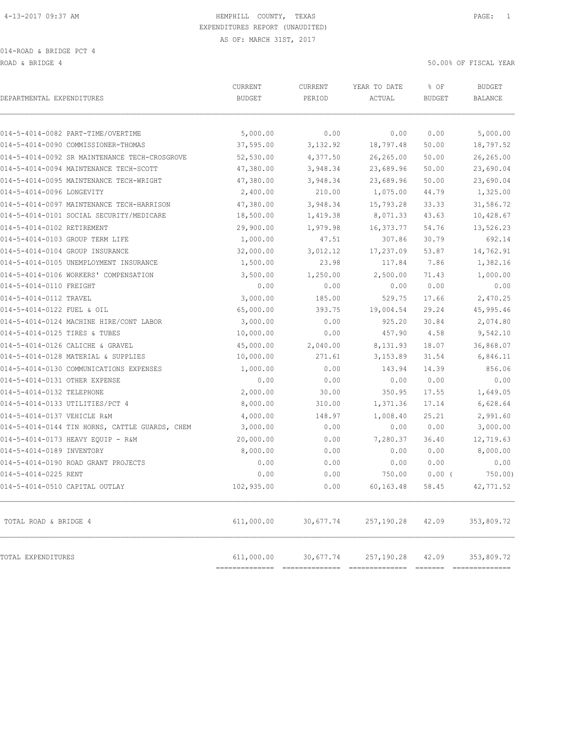ROAD & BRIDGE 4 50.00% OF FISCAL YEAR (1999) AND ROAD & SOLOOM OF SOLOOM OF FISCAL YEAR

| DEPARTMENTAL EXPENDITURES                      | CURRENT<br><b>BUDGET</b>     | CURRENT<br>PERIOD          | YEAR TO DATE<br>ACTUAL      | % OF<br><b>BUDGET</b> | <b>BUDGET</b><br>BALANCE    |
|------------------------------------------------|------------------------------|----------------------------|-----------------------------|-----------------------|-----------------------------|
| 014-5-4014-0082 PART-TIME/OVERTIME             | 5,000.00                     | 0.00                       | 0.00                        | 0.00                  | 5,000.00                    |
| 014-5-4014-0090 COMMISSIONER-THOMAS            | 37,595.00                    | 3,132.92                   | 18,797.48                   | 50.00                 | 18,797.52                   |
| 014-5-4014-0092 SR MAINTENANCE TECH-CROSGROVE  | 52,530.00                    | 4,377.50                   | 26,265.00                   | 50.00                 | 26,265.00                   |
| 014-5-4014-0094 MAINTENANCE TECH-SCOTT         | 47,380.00                    | 3,948.34                   | 23,689.96                   | 50.00                 | 23,690.04                   |
| 014-5-4014-0095 MAINTENANCE TECH-WRIGHT        | 47,380.00                    | 3,948.34                   | 23,689.96                   | 50.00                 | 23,690.04                   |
| 014-5-4014-0096 LONGEVITY                      | 2,400.00                     | 210.00                     | 1,075.00                    | 44.79                 | 1,325.00                    |
| 014-5-4014-0097 MAINTENANCE TECH-HARRISON      | 47,380.00                    | 3,948.34                   | 15,793.28                   | 33.33                 | 31,586.72                   |
| 014-5-4014-0101 SOCIAL SECURITY/MEDICARE       | 18,500.00                    | 1,419.38                   | 8,071.33                    | 43.63                 | 10,428.67                   |
| 014-5-4014-0102 RETIREMENT                     | 29,900.00                    | 1,979.98                   | 16,373.77                   | 54.76                 | 13,526.23                   |
| 014-5-4014-0103 GROUP TERM LIFE                | 1,000.00                     | 47.51                      | 307.86                      | 30.79                 | 692.14                      |
| 014-5-4014-0104 GROUP INSURANCE                | 32,000.00                    | 3,012.12                   | 17,237.09                   | 53.87                 | 14,762.91                   |
| 014-5-4014-0105 UNEMPLOYMENT INSURANCE         | 1,500.00                     | 23.98                      | 117.84                      | 7.86                  | 1,382.16                    |
| 014-5-4014-0106 WORKERS' COMPENSATION          | 3,500.00                     | 1,250.00                   | 2,500.00                    | 71.43                 | 1,000.00                    |
| 014-5-4014-0110 FREIGHT                        | 0.00                         | 0.00                       | 0.00                        | 0.00                  | 0.00                        |
| 014-5-4014-0112 TRAVEL                         | 3,000.00                     | 185.00                     | 529.75                      | 17.66                 | 2,470.25                    |
| 014-5-4014-0122 FUEL & OIL                     | 65,000.00                    | 393.75                     | 19,004.54                   | 29.24                 | 45,995.46                   |
| 014-5-4014-0124 MACHINE HIRE/CONT LABOR        | 3,000.00                     | 0.00                       | 925.20                      | 30.84                 | 2,074.80                    |
| 014-5-4014-0125 TIRES & TUBES                  | 10,000.00                    | 0.00                       | 457.90                      | 4.58                  | 9,542.10                    |
| 014-5-4014-0126 CALICHE & GRAVEL               | 45,000.00                    | 2,040.00                   | 8,131.93                    | 18.07                 | 36,868.07                   |
| 014-5-4014-0128 MATERIAL & SUPPLIES            | 10,000.00                    | 271.61                     | 3,153.89                    | 31.54                 | 6,846.11                    |
| 014-5-4014-0130 COMMUNICATIONS EXPENSES        | 1,000.00                     | 0.00                       | 143.94                      | 14.39                 | 856.06                      |
| 014-5-4014-0131 OTHER EXPENSE                  | 0.00                         | 0.00                       | 0.00                        | 0.00                  | 0.00                        |
| 014-5-4014-0132 TELEPHONE                      | 2,000.00                     | 30.00                      | 350.95                      | 17.55                 | 1,649.05                    |
| 014-5-4014-0133 UTILITIES/PCT 4                | 8,000.00                     | 310.00                     | 1,371.36                    | 17.14                 | 6,628.64                    |
| 014-5-4014-0137 VEHICLE R&M                    | 4,000.00                     | 148.97                     | 1,008.40                    | 25.21                 | 2,991.60                    |
| 014-5-4014-0144 TIN HORNS, CATTLE GUARDS, CHEM | 3,000.00                     | 0.00                       | 0.00                        | 0.00                  | 3,000.00                    |
| 014-5-4014-0173 HEAVY EQUIP - R&M              | 20,000.00                    | 0.00                       | 7,280.37                    | 36.40                 | 12,719.63                   |
| 014-5-4014-0189 INVENTORY                      | 8,000.00                     | 0.00                       | 0.00                        | 0.00                  | 8,000.00                    |
| 014-5-4014-0190 ROAD GRANT PROJECTS            | 0.00                         | 0.00                       | 0.00                        | 0.00                  | 0.00                        |
| 014-5-4014-0225 RENT                           | 0.00                         | 0.00                       | 750.00                      | $0.00$ (              | 750.00)                     |
| 014-5-4014-0510 CAPITAL OUTLAY                 | 102,935.00                   | 0.00                       | 60,163.48                   | 58.45                 | 42,771.52                   |
| TOTAL ROAD & BRIDGE 4                          | 611,000.00                   | 30,677.74                  | 257,190.28                  | 42.09                 | 353,809.72                  |
| TOTAL EXPENDITURES                             | 611,000.00<br>-------------- | 30,677.74<br>2222222222222 | 257,190.28<br>FRAGERSBERGER | 42.09<br>FEEEEE       | 353,809.72<br>FEEEEEEEEEEEE |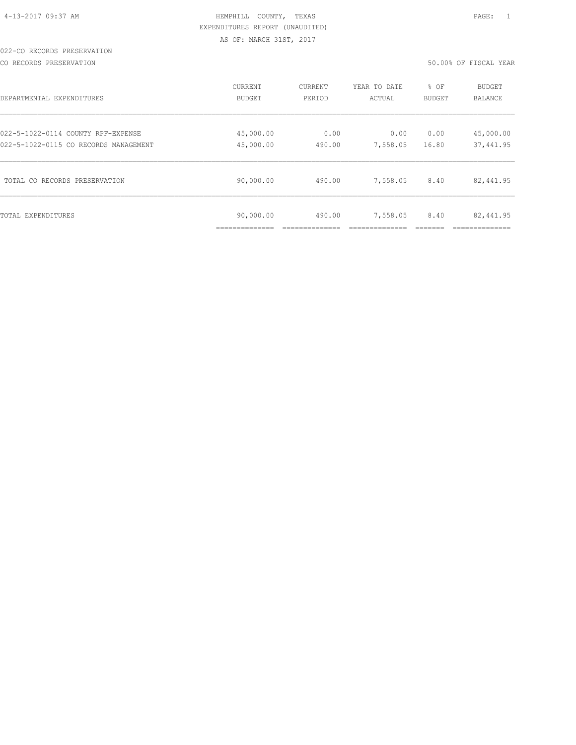#### 022-CO RECORDS PRESERVATION

CO RECORDS PRESERVATION 50.00% OF FISCAL YEAR

| DEPARTMENTAL EXPENDITURES             | CURRENT                   | <b>CURRENT</b> | YEAR TO DATE | % OF   | <b>BUDGET</b> |
|---------------------------------------|---------------------------|----------------|--------------|--------|---------------|
|                                       | BUDGET                    | PERIOD         | ACTUAL       | BUDGET | BALANCE       |
| 022-5-1022-0114 COUNTY RPF-EXPENSE    | 45,000.00                 | 0.00           | 0.00         | 0.00   | 45,000.00     |
| 022-5-1022-0115 CO RECORDS MANAGEMENT | 45,000.00                 | 490.00         | 7,558.05     | 16.80  | 37, 441.95    |
| TOTAL CO RECORDS PRESERVATION         | 90,000.00                 | 490.00         | 7,558.05     | 8.40   | 82,441.95     |
| TOTAL EXPENDITURES                    | 90,000.00<br>____________ | 490.00         | 7,558.05     | 8.40   | 82,441.95     |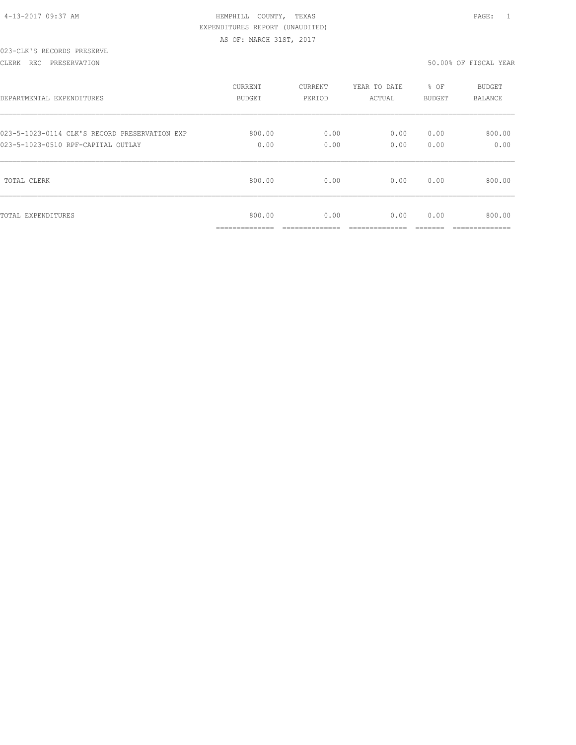| 4-13-2017 09:37 AM |  |
|--------------------|--|

# HEMPHILL COUNTY, TEXAS **PAGE:** 1 EXPENDITURES REPORT (UNAUDITED) AS OF: MARCH 31ST, 2017

#### 023-CLK'S RECORDS PRESERVE

#### CLERK REC PRESERVATION 50.00% OF FISCAL YEAR

| DEPARTMENTAL EXPENDITURES                     | <b>CURRENT</b>                        | CURRENT                | YEAR TO DATE          | % OF           | <b>BUDGET</b>            |
|-----------------------------------------------|---------------------------------------|------------------------|-----------------------|----------------|--------------------------|
|                                               | <b>BUDGET</b>                         | PERIOD                 | ACTUAL                | BUDGET         | <b>BALANCE</b>           |
| 023-5-1023-0114 CLK'S RECORD PRESERVATION EXP | 800.00                                | 0.00                   | 0.00                  | 0.00           | 800.00                   |
| 023-5-1023-0510 RPF-CAPITAL OUTLAY            | 0.00                                  | 0.00                   | 0.00                  | 0.00           | 0.00                     |
| TOTAL CLERK                                   | 800.00                                | 0.00                   | 0.00                  | 0.00           | 800.00                   |
| TOTAL EXPENDITURES                            | 800.00<br>______________<br>--------- | 0.00<br>______________ | 0.00<br>_____________ | 0.00<br>______ | 800.00<br>______________ |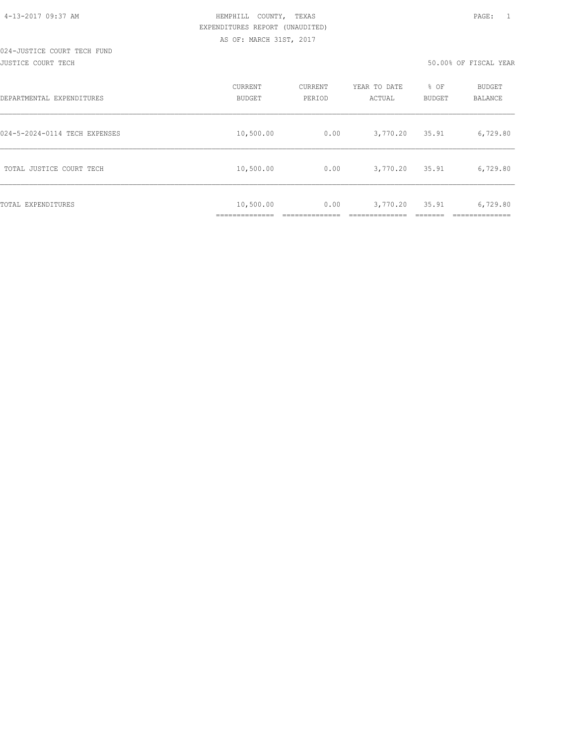#### 024-JUSTICE COURT TECH FUND JUSTICE COURT TECH 50.00% OF FISCAL YEAR

| DEPARTMENTAL EXPENDITURES     | CURRENT<br><b>BUDGET</b>  | CURRENT<br>PERIOD | YEAR TO DATE<br>ACTUAL | % OF<br><b>BUDGET</b> | <b>BUDGET</b><br>BALANCE |
|-------------------------------|---------------------------|-------------------|------------------------|-----------------------|--------------------------|
| 024-5-2024-0114 TECH EXPENSES | 10,500.00                 | 0.00              | 3,770.20               | 35.91                 | 6,729.80                 |
| TOTAL JUSTICE COURT TECH      | 10,500.00                 | 0.00              | 3,770.20               | 35.91                 | 6,729.80                 |
| <b>TOTAL EXPENDITURES</b>     | 10,500.00<br>------------ | 0.00              | 3,770.20               | 35.91                 | 6,729.80                 |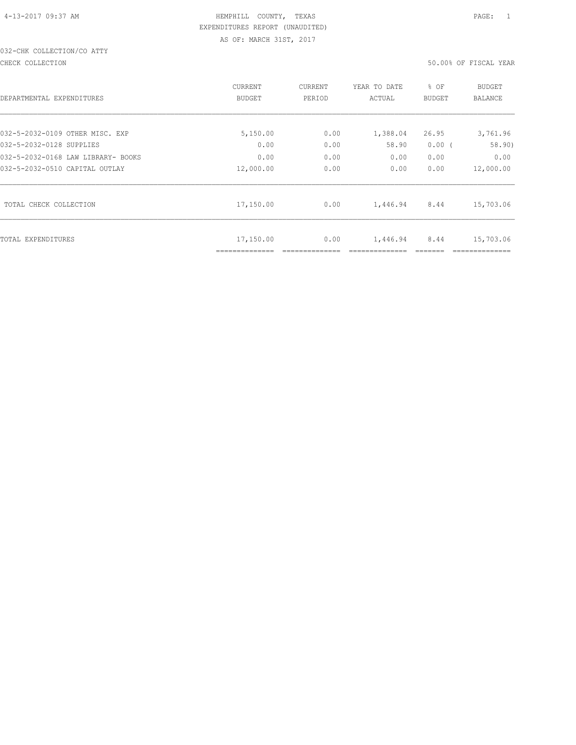# 032-CHK COLLECTION/CO ATTY

CHECK COLLECTION 50.00% OF FISCAL YEAR

| DEPARTMENTAL EXPENDITURES          | CURRENT<br><b>BUDGET</b> | CURRENT<br>PERIOD | YEAR TO DATE<br>ACTUAL | % OF<br><b>BUDGET</b> | <b>BUDGET</b><br><b>BALANCE</b> |
|------------------------------------|--------------------------|-------------------|------------------------|-----------------------|---------------------------------|
| 032-5-2032-0109 OTHER MISC. EXP    | 5,150.00                 | 0.00              | 1,388.04               | 26.95                 | 3,761.96                        |
| 032-5-2032-0128 SUPPLIES           | 0.00                     | 0.00              | 58.90                  | $0.00$ (              | 58.90)                          |
| 032-5-2032-0168 LAW LIBRARY- BOOKS | 0.00                     | 0.00              | 0.00                   | 0.00                  | 0.00                            |
| 032-5-2032-0510 CAPITAL OUTLAY     | 12,000.00                | 0.00              | 0.00                   | 0.00                  | 12,000.00                       |
| TOTAL CHECK COLLECTION             | 17,150.00                | 0.00              | 1,446.94               | 8.44                  | 15,703.06                       |
| TOTAL EXPENDITURES                 | 17,150.00                | 0.00              | 1,446.94               | 8.44                  | 15,703.06                       |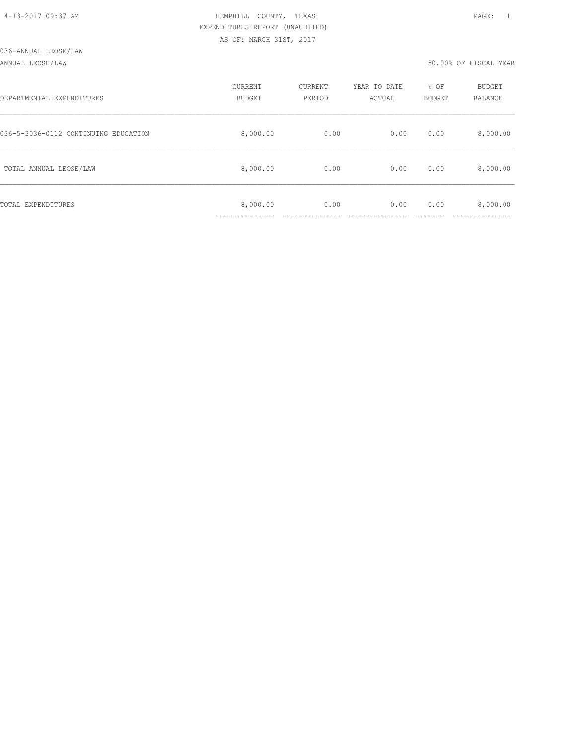#### ANNUAL LEOSE/LAW 50.00% OF FISCAL YEAR

| DEPARTMENTAL EXPENDITURES            | CURRENT<br><b>BUDGET</b> | CURRENT<br>PERIOD | YEAR TO DATE<br>ACTUAL | % OF<br><b>BUDGET</b> | <b>BUDGET</b><br><b>BALANCE</b> |
|--------------------------------------|--------------------------|-------------------|------------------------|-----------------------|---------------------------------|
| 036-5-3036-0112 CONTINUING EDUCATION | 8,000.00                 | 0.00              | 0.00                   | 0.00                  | 8,000.00                        |
| TOTAL ANNUAL LEOSE/LAW               | 8,000.00                 | 0.00              | 0.00                   | 0.00                  | 8,000.00                        |
| TOTAL EXPENDITURES                   | 8,000.00                 | 0.00              | 0.00                   | 0.00                  | 8,000.00                        |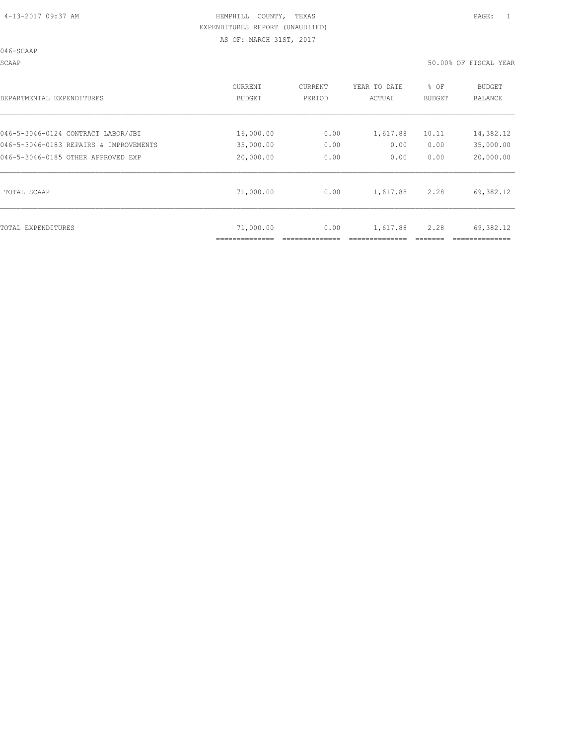046-SCAAP

SCAAP 50.00% OF FISCAL YEAR

| DEPARTMENTAL EXPENDITURES              | <b>CURRENT</b><br>BUDGET | <b>CURRENT</b><br>PERIOD | YEAR TO DATE<br>ACTUAL | % OF<br>BUDGET | <b>BUDGET</b><br>BALANCE |
|----------------------------------------|--------------------------|--------------------------|------------------------|----------------|--------------------------|
| 046-5-3046-0124 CONTRACT LABOR/JBI     | 16,000.00                | 0.00                     | 1,617.88               | 10.11          | 14,382.12                |
| 046-5-3046-0183 REPAIRS & IMPROVEMENTS | 35,000.00                | 0.00                     | 0.00                   | 0.00           | 35,000.00                |
| 046-5-3046-0185 OTHER APPROVED EXP     | 20,000.00                | 0.00                     | 0.00                   | 0.00           | 20,000.00                |
| TOTAL SCAAP                            | 71,000.00                | 0.00                     | 1,617.88               | 2.28           | 69,382.12                |
| TOTAL EXPENDITURES                     | 71,000.00                | 0.00                     | 1,617.88               | 2.28           | 69,382.12                |